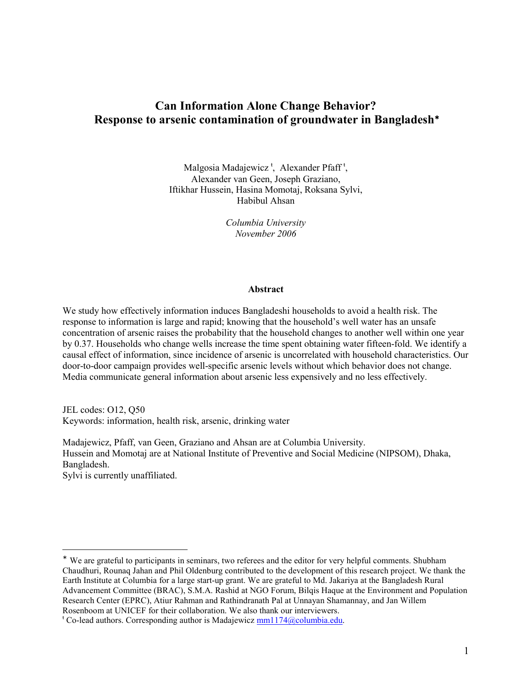# **Can Information Alone Change Behavior? Response to arsenic contamination of groundwater in Bangladesh**<sup>∗</sup>

Malgosia Madajewicz<sup>t</sup>, Alexander Pfaff<sup>t</sup>, Alexander van Geen, Joseph Graziano, Iftikhar Hussein, Hasina Momotaj, Roksana Sylvi, Habibul Ahsan

> *Columbia University November 2006*

#### **Abstract**

We study how effectively information induces Bangladeshi households to avoid a health risk. The response to information is large and rapid; knowing that the household's well water has an unsafe concentration of arsenic raises the probability that the household changes to another well within one year by 0.37. Households who change wells increase the time spent obtaining water fifteen-fold. We identify a causal effect of information, since incidence of arsenic is uncorrelated with household characteristics. Our door-to-door campaign provides well-specific arsenic levels without which behavior does not change. Media communicate general information about arsenic less expensively and no less effectively.

JEL codes: O12, Q50 Keywords: information, health risk, arsenic, drinking water

Madajewicz, Pfaff, van Geen, Graziano and Ahsan are at Columbia University. Hussein and Momotaj are at National Institute of Preventive and Social Medicine (NIPSOM), Dhaka, Bangladesh.

Sylvi is currently unaffiliated.

<sup>∗</sup> We are grateful to participants in seminars, two referees and the editor for very helpful comments. Shubham Chaudhuri, Rounaq Jahan and Phil Oldenburg contributed to the development of this research project. We thank the Earth Institute at Columbia for a large start-up grant. We are grateful to Md. Jakariya at the Bangladesh Rural Advancement Committee (BRAC), S.M.A. Rashid at NGO Forum, Bilqis Haque at the Environment and Population Research Center (EPRC), Atiur Rahman and Rathindranath Pal at Unnayan Shamannay, and Jan Willem Rosenboom at UNICEF for their collaboration. We also thank our interviewers.

<sup>&</sup>lt;sup>t</sup> Co-lead authors. Corresponding author is Madajewicz mm1174@columbia.edu.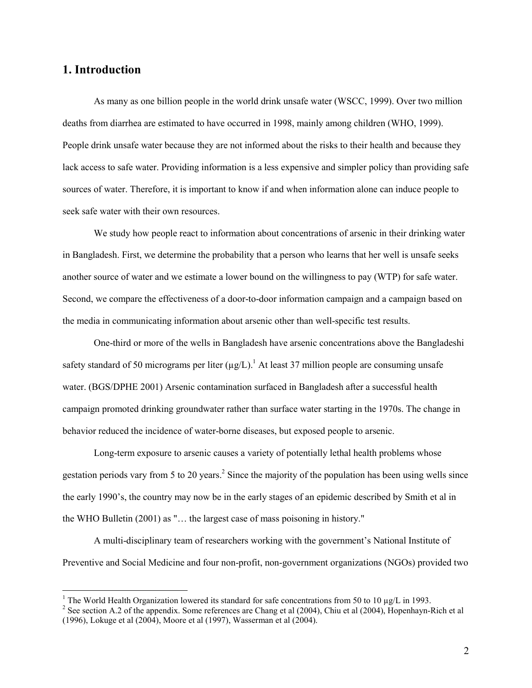## **1. Introduction**

 $\overline{a}$ 

As many as one billion people in the world drink unsafe water (WSCC, 1999). Over two million deaths from diarrhea are estimated to have occurred in 1998, mainly among children (WHO, 1999). People drink unsafe water because they are not informed about the risks to their health and because they lack access to safe water. Providing information is a less expensive and simpler policy than providing safe sources of water. Therefore, it is important to know if and when information alone can induce people to seek safe water with their own resources.

We study how people react to information about concentrations of arsenic in their drinking water in Bangladesh. First, we determine the probability that a person who learns that her well is unsafe seeks another source of water and we estimate a lower bound on the willingness to pay (WTP) for safe water. Second, we compare the effectiveness of a door-to-door information campaign and a campaign based on the media in communicating information about arsenic other than well-specific test results.

One-third or more of the wells in Bangladesh have arsenic concentrations above the Bangladeshi safety standard of 50 micrograms per liter  $(\mu g/L)$ .<sup>1</sup> At least 37 million people are consuming unsafe water. (BGS/DPHE 2001) Arsenic contamination surfaced in Bangladesh after a successful health campaign promoted drinking groundwater rather than surface water starting in the 1970s. The change in behavior reduced the incidence of water-borne diseases, but exposed people to arsenic.

Long-term exposure to arsenic causes a variety of potentially lethal health problems whose gestation periods vary from 5 to 20 years.<sup>2</sup> Since the majority of the population has been using wells since the early 1990's, the country may now be in the early stages of an epidemic described by Smith et al in the WHO Bulletin (2001) as "… the largest case of mass poisoning in history."

A multi-disciplinary team of researchers working with the government's National Institute of Preventive and Social Medicine and four non-profit, non-government organizations (NGOs) provided two

<sup>&</sup>lt;sup>1</sup> The World Health Organization lowered its standard for safe concentrations from 50 to 10  $\mu$ g/L in 1993.

<sup>&</sup>lt;sup>2</sup> See section A.2 of the appendix. Some references are Chang et al (2004), Chiu et al (2004), Hopenhayn-Rich et al (1996), Lokuge et al (2004), Moore et al (1997), Wasserman et al (2004).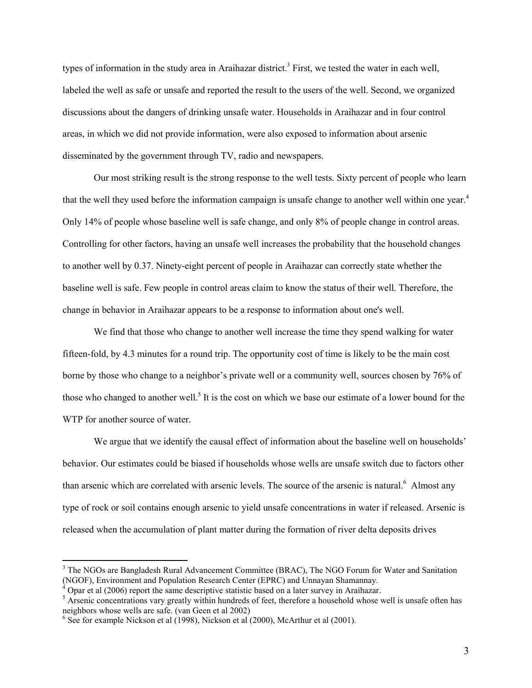types of information in the study area in Araihazar district.<sup>3</sup> First, we tested the water in each well, labeled the well as safe or unsafe and reported the result to the users of the well. Second, we organized discussions about the dangers of drinking unsafe water. Households in Araihazar and in four control areas, in which we did not provide information, were also exposed to information about arsenic disseminated by the government through TV, radio and newspapers.

Our most striking result is the strong response to the well tests. Sixty percent of people who learn that the well they used before the information campaign is unsafe change to another well within one year.<sup>4</sup> Only 14% of people whose baseline well is safe change, and only 8% of people change in control areas. Controlling for other factors, having an unsafe well increases the probability that the household changes to another well by 0.37. Ninety-eight percent of people in Araihazar can correctly state whether the baseline well is safe. Few people in control areas claim to know the status of their well. Therefore, the change in behavior in Araihazar appears to be a response to information about one's well.

We find that those who change to another well increase the time they spend walking for water fifteen-fold, by 4.3 minutes for a round trip. The opportunity cost of time is likely to be the main cost borne by those who change to a neighbor's private well or a community well, sources chosen by 76% of those who changed to another well.<sup>5</sup> It is the cost on which we base our estimate of a lower bound for the WTP for another source of water.

We argue that we identify the causal effect of information about the baseline well on households' behavior. Our estimates could be biased if households whose wells are unsafe switch due to factors other than arsenic which are correlated with arsenic levels. The source of the arsenic is natural.<sup>6</sup> Almost any type of rock or soil contains enough arsenic to yield unsafe concentrations in water if released. Arsenic is released when the accumulation of plant matter during the formation of river delta deposits drives

<sup>&</sup>lt;sup>3</sup> The NGOs are Bangladesh Rural Advancement Committee (BRAC), The NGO Forum for Water and Sanitation (NGOF), Environment and Population Research Center (EPRC) and Unnayan Shamannay.

 $4$  Opar et al (2006) report the same descriptive statistic based on a later survey in Araihazar.

<sup>&</sup>lt;sup>5</sup> Arsenic concentrations vary greatly within hundreds of feet, therefore a household whose well is unsafe often has neighbors whose wells are safe. (van Geen et al 2002)

<sup>&</sup>lt;sup>6</sup> See for example Nickson et al (1998), Nickson et al (2000), McArthur et al (2001).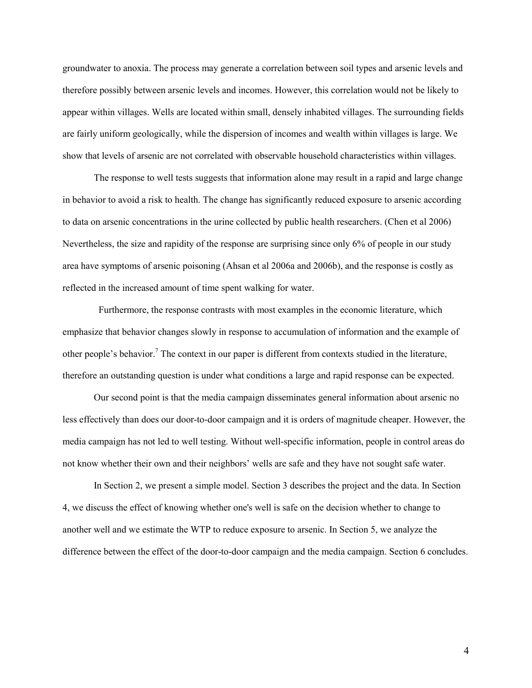groundwater to anoxia. The process may generate a correlation between soil types and arsenic levels and therefore possibly between arsenic levels and incomes. However, this correlation would not be likely to appear within villages. Wells are located within small, densely inhabited villages. The surrounding fields are fairly uniform geologically, while the dispersion of incomes and wealth within villages is large. We show that levels of arsenic are not correlated with observable household characteristics within villages.

The response to well tests suggests that information alone may result in a rapid and large change in behavior to avoid a risk to health. The change has significantly reduced exposure to arsenic according to data on arsenic concentrations in the urine collected by public health researchers. (Chen et al 2006) Nevertheless, the size and rapidity of the response are surprising since only 6% of people in our study area have symptoms of arsenic poisoning (Ahsan et al 2006a and 2006b), and the response is costly as reflected in the increased amount of time spent walking for water.

 Furthermore, the response contrasts with most examples in the economic literature, which emphasize that behavior changes slowly in response to accumulation of information and the example of other people's behavior.<sup>7</sup> The context in our paper is different from contexts studied in the literature, therefore an outstanding question is under what conditions a large and rapid response can be expected.

Our second point is that the media campaign disseminates general information about arsenic no less effectively than does our door-to-door campaign and it is orders of magnitude cheaper. However, the media campaign has not led to well testing. Without well-specific information, people in control areas do not know whether their own and their neighbors' wells are safe and they have not sought safe water.

In Section 2, we present a simple model. Section 3 describes the project and the data. In Section 4, we discuss the effect of knowing whether one's well is safe on the decision whether to change to another well and we estimate the WTP to reduce exposure to arsenic. In Section 5, we analyze the difference between the effect of the door-to-door campaign and the media campaign. Section 6 concludes.

4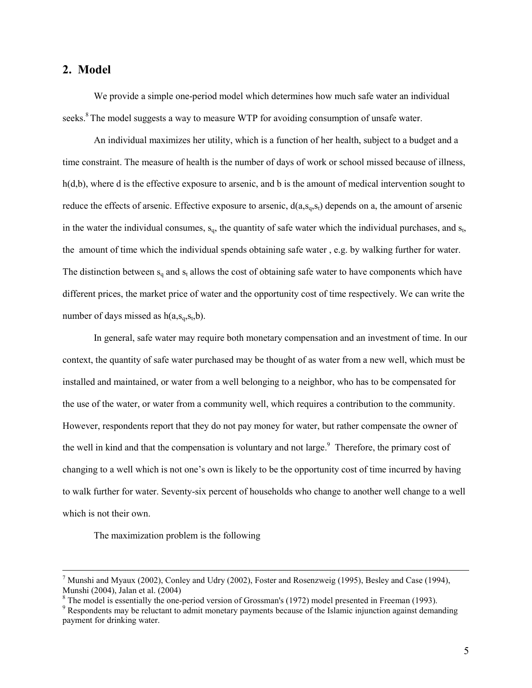## **2. Model**

We provide a simple one-period model which determines how much safe water an individual seeks.<sup>8</sup> The model suggests a way to measure WTP for avoiding consumption of unsafe water.

An individual maximizes her utility, which is a function of her health, subject to a budget and a time constraint. The measure of health is the number of days of work or school missed because of illness, h(d,b), where d is the effective exposure to arsenic, and b is the amount of medical intervention sought to reduce the effects of arsenic. Effective exposure to arsenic,  $d(a,s_0,s_t)$  depends on a, the amount of arsenic in the water the individual consumes,  $s_q$ , the quantity of safe water which the individual purchases, and  $s_t$ , the amount of time which the individual spends obtaining safe water , e.g. by walking further for water. The distinction between  $s_q$  and  $s_t$  allows the cost of obtaining safe water to have components which have different prices, the market price of water and the opportunity cost of time respectively. We can write the number of days missed as  $h(a,s<sub>q</sub>,s<sub>t</sub>,b)$ .

In general, safe water may require both monetary compensation and an investment of time. In our context, the quantity of safe water purchased may be thought of as water from a new well, which must be installed and maintained, or water from a well belonging to a neighbor, who has to be compensated for the use of the water, or water from a community well, which requires a contribution to the community. However, respondents report that they do not pay money for water, but rather compensate the owner of the well in kind and that the compensation is voluntary and not large.<sup>9</sup> Therefore, the primary cost of changing to a well which is not one's own is likely to be the opportunity cost of time incurred by having to walk further for water. Seventy-six percent of households who change to another well change to a well which is not their own.

The maximization problem is the following

<sup>-&</sup>lt;br>7 <sup>7</sup> Munshi and Myaux (2002), Conley and Udry (2002), Foster and Rosenzweig (1995), Besley and Case (1994), Munshi (2004), Jalan et al. (2004)

 $8$  The model is essentially the one-period version of Grossman's (1972) model presented in Freeman (1993).

<sup>&</sup>lt;sup>9</sup> Respondents may be reluctant to admit monetary payments because of the Islamic injunction against demanding payment for drinking water.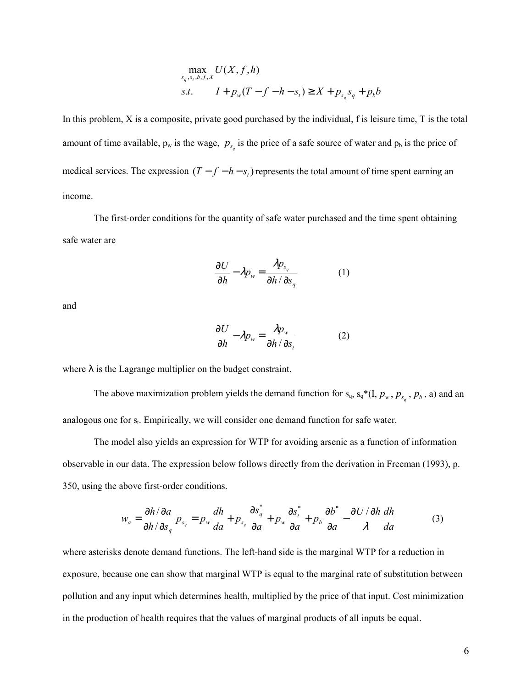$$
\max_{s_q, s_t, b, f, X} U(X, f, h)
$$
  
s.t.  $I + p_w (T - f - h - s_t) \ge X + p_{s_q} s_q + p_b b$ 

In this problem, X is a composite, private good purchased by the individual, f is leisure time, T is the total amount of time available,  $p_w$  is the wage,  $p_{s_a}$  is the price of a safe source of water and  $p_b$  is the price of medical services. The expression  $(T - f - h - s_t)$  represents the total amount of time spent earning an income.

The first-order conditions for the quantity of safe water purchased and the time spent obtaining safe water are

$$
\frac{\partial U}{\partial h} - \lambda p_w = \frac{\lambda p_{s_q}}{\partial h / \partial s_q} \tag{1}
$$

and

$$
\frac{\partial U}{\partial h} - \lambda p_w = \frac{\lambda p_w}{\partial h / \partial s_t}
$$
 (2)

where  $\lambda$  is the Lagrange multiplier on the budget constraint.

The above maximization problem yields the demand function for  $s_q$ ,  $s_q*(I, p_w, p_{s_q}, p_b, a)$  and an analogous one for  $s_t$ . Empirically, we will consider one demand function for safe water.

The model also yields an expression for WTP for avoiding arsenic as a function of information observable in our data. The expression below follows directly from the derivation in Freeman (1993), p. 350, using the above first-order conditions.

$$
w_a = \frac{\partial h / \partial a}{\partial h / \partial s_g} p_{s_q} = p_w \frac{dh}{da} + p_{s_q} \frac{\partial s_q^*}{\partial a} + p_w \frac{\partial s_t^*}{\partial a} + p_b \frac{\partial b^*}{\partial a} - \frac{\partial U / \partial h}{\partial a} \frac{dh}{da}
$$
(3)

where asterisks denote demand functions. The left-hand side is the marginal WTP for a reduction in exposure, because one can show that marginal WTP is equal to the marginal rate of substitution between pollution and any input which determines health, multiplied by the price of that input. Cost minimization in the production of health requires that the values of marginal products of all inputs be equal.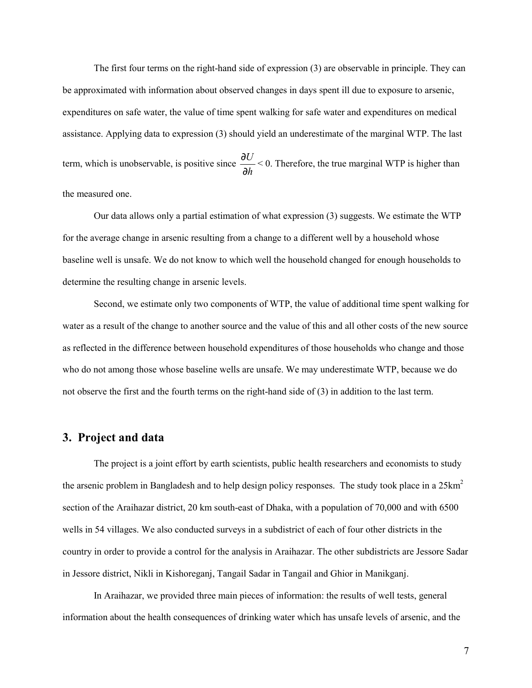The first four terms on the right-hand side of expression (3) are observable in principle. They can be approximated with information about observed changes in days spent ill due to exposure to arsenic, expenditures on safe water, the value of time spent walking for safe water and expenditures on medical assistance. Applying data to expression (3) should yield an underestimate of the marginal WTP. The last term, which is unobservable, is positive since  $\frac{\partial \phi}{\partial h}$ *U* ∂  $\frac{\partial U}{\partial x}$  < 0. Therefore, the true marginal WTP is higher than the measured one.

Our data allows only a partial estimation of what expression (3) suggests. We estimate the WTP for the average change in arsenic resulting from a change to a different well by a household whose baseline well is unsafe. We do not know to which well the household changed for enough households to determine the resulting change in arsenic levels.

Second, we estimate only two components of WTP, the value of additional time spent walking for water as a result of the change to another source and the value of this and all other costs of the new source as reflected in the difference between household expenditures of those households who change and those who do not among those whose baseline wells are unsafe. We may underestimate WTP, because we do not observe the first and the fourth terms on the right-hand side of (3) in addition to the last term.

# **3. Project and data**

The project is a joint effort by earth scientists, public health researchers and economists to study the arsenic problem in Bangladesh and to help design policy responses. The study took place in a 25km<sup>2</sup> section of the Araihazar district, 20 km south-east of Dhaka, with a population of 70,000 and with 6500 wells in 54 villages. We also conducted surveys in a subdistrict of each of four other districts in the country in order to provide a control for the analysis in Araihazar. The other subdistricts are Jessore Sadar in Jessore district, Nikli in Kishoreganj, Tangail Sadar in Tangail and Ghior in Manikganj.

In Araihazar, we provided three main pieces of information: the results of well tests, general information about the health consequences of drinking water which has unsafe levels of arsenic, and the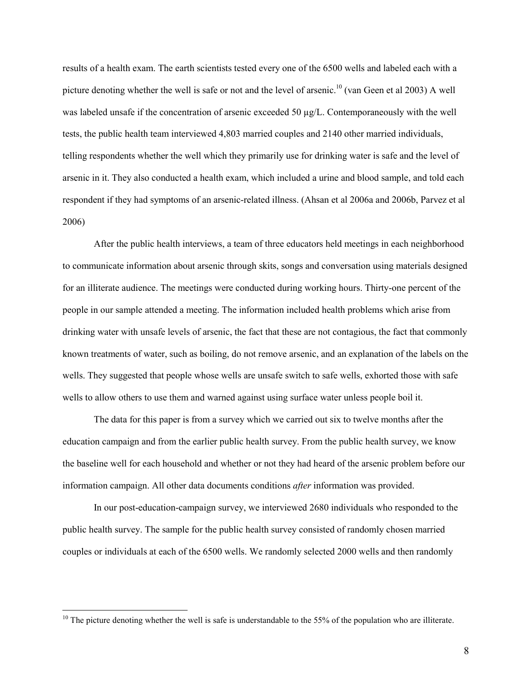results of a health exam. The earth scientists tested every one of the 6500 wells and labeled each with a picture denoting whether the well is safe or not and the level of arsenic.<sup>10</sup> (van Geen et al 2003) A well was labeled unsafe if the concentration of arsenic exceeded 50  $\mu$ g/L. Contemporaneously with the well tests, the public health team interviewed 4,803 married couples and 2140 other married individuals, telling respondents whether the well which they primarily use for drinking water is safe and the level of arsenic in it. They also conducted a health exam, which included a urine and blood sample, and told each respondent if they had symptoms of an arsenic-related illness. (Ahsan et al 2006a and 2006b, Parvez et al 2006)

After the public health interviews, a team of three educators held meetings in each neighborhood to communicate information about arsenic through skits, songs and conversation using materials designed for an illiterate audience. The meetings were conducted during working hours. Thirty-one percent of the people in our sample attended a meeting. The information included health problems which arise from drinking water with unsafe levels of arsenic, the fact that these are not contagious, the fact that commonly known treatments of water, such as boiling, do not remove arsenic, and an explanation of the labels on the wells. They suggested that people whose wells are unsafe switch to safe wells, exhorted those with safe wells to allow others to use them and warned against using surface water unless people boil it.

The data for this paper is from a survey which we carried out six to twelve months after the education campaign and from the earlier public health survey. From the public health survey, we know the baseline well for each household and whether or not they had heard of the arsenic problem before our information campaign. All other data documents conditions *after* information was provided.

In our post-education-campaign survey, we interviewed 2680 individuals who responded to the public health survey. The sample for the public health survey consisted of randomly chosen married couples or individuals at each of the 6500 wells. We randomly selected 2000 wells and then randomly

 $10$  The picture denoting whether the well is safe is understandable to the 55% of the population who are illiterate.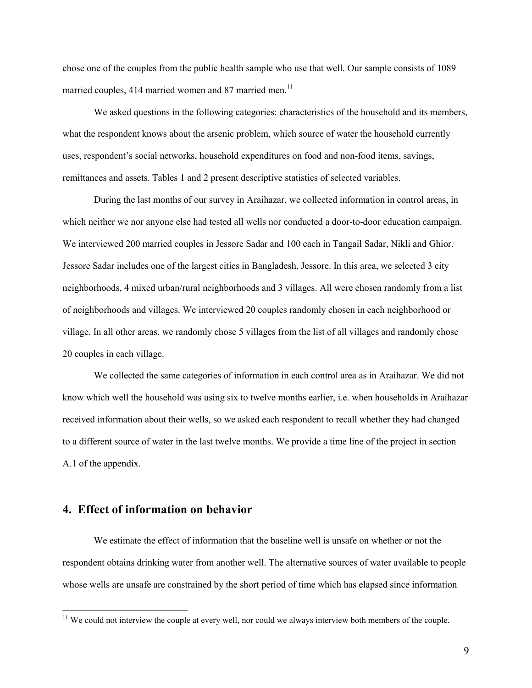chose one of the couples from the public health sample who use that well. Our sample consists of 1089 married couples, 414 married women and 87 married men.<sup>11</sup>

We asked questions in the following categories: characteristics of the household and its members, what the respondent knows about the arsenic problem, which source of water the household currently uses, respondent's social networks, household expenditures on food and non-food items, savings, remittances and assets. Tables 1 and 2 present descriptive statistics of selected variables.

During the last months of our survey in Araihazar, we collected information in control areas, in which neither we nor anyone else had tested all wells nor conducted a door-to-door education campaign. We interviewed 200 married couples in Jessore Sadar and 100 each in Tangail Sadar, Nikli and Ghior. Jessore Sadar includes one of the largest cities in Bangladesh, Jessore. In this area, we selected 3 city neighborhoods, 4 mixed urban/rural neighborhoods and 3 villages. All were chosen randomly from a list of neighborhoods and villages. We interviewed 20 couples randomly chosen in each neighborhood or village. In all other areas, we randomly chose 5 villages from the list of all villages and randomly chose 20 couples in each village.

We collected the same categories of information in each control area as in Araihazar. We did not know which well the household was using six to twelve months earlier, i.e. when households in Araihazar received information about their wells, so we asked each respondent to recall whether they had changed to a different source of water in the last twelve months. We provide a time line of the project in section A.1 of the appendix.

## **4. Effect of information on behavior**

 $\overline{a}$ 

We estimate the effect of information that the baseline well is unsafe on whether or not the respondent obtains drinking water from another well. The alternative sources of water available to people whose wells are unsafe are constrained by the short period of time which has elapsed since information

<sup>&</sup>lt;sup>11</sup> We could not interview the couple at every well, nor could we always interview both members of the couple.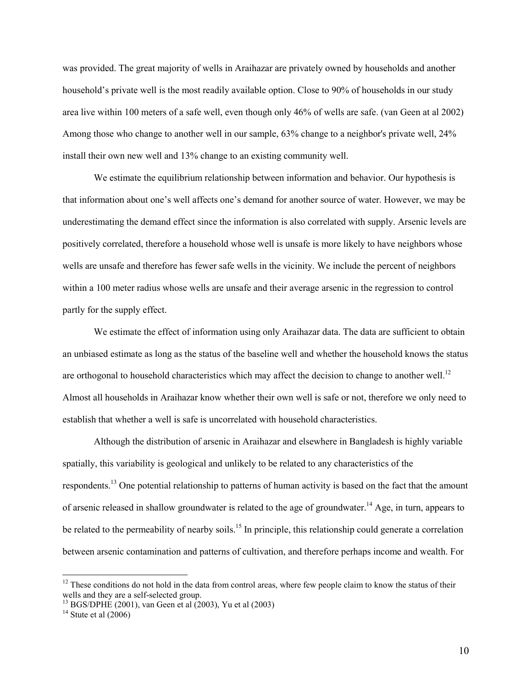was provided. The great majority of wells in Araihazar are privately owned by households and another household's private well is the most readily available option. Close to 90% of households in our study area live within 100 meters of a safe well, even though only 46% of wells are safe. (van Geen at al 2002) Among those who change to another well in our sample, 63% change to a neighbor's private well, 24% install their own new well and 13% change to an existing community well.

We estimate the equilibrium relationship between information and behavior. Our hypothesis is that information about one's well affects one's demand for another source of water. However, we may be underestimating the demand effect since the information is also correlated with supply. Arsenic levels are positively correlated, therefore a household whose well is unsafe is more likely to have neighbors whose wells are unsafe and therefore has fewer safe wells in the vicinity. We include the percent of neighbors within a 100 meter radius whose wells are unsafe and their average arsenic in the regression to control partly for the supply effect.

We estimate the effect of information using only Araihazar data. The data are sufficient to obtain an unbiased estimate as long as the status of the baseline well and whether the household knows the status are orthogonal to household characteristics which may affect the decision to change to another well.<sup>12</sup> Almost all households in Araihazar know whether their own well is safe or not, therefore we only need to establish that whether a well is safe is uncorrelated with household characteristics.

Although the distribution of arsenic in Araihazar and elsewhere in Bangladesh is highly variable spatially, this variability is geological and unlikely to be related to any characteristics of the respondents.13 One potential relationship to patterns of human activity is based on the fact that the amount of arsenic released in shallow groundwater is related to the age of groundwater.<sup>14</sup> Age, in turn, appears to be related to the permeability of nearby soils.<sup>15</sup> In principle, this relationship could generate a correlation between arsenic contamination and patterns of cultivation, and therefore perhaps income and wealth. For

 $12$  These conditions do not hold in the data from control areas, where few people claim to know the status of their wells and they are a self-selected group.

<sup>&</sup>lt;sup>13</sup> BGS/DPHE (2001), van Geen et al (2003), Yu et al (2003)

<sup>&</sup>lt;sup>14</sup> Stute et al  $(2006)$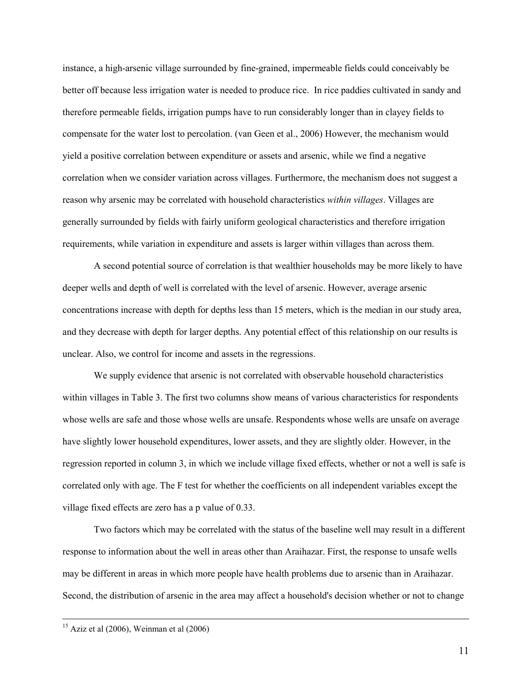instance, a high-arsenic village surrounded by fine-grained, impermeable fields could conceivably be better off because less irrigation water is needed to produce rice. In rice paddies cultivated in sandy and therefore permeable fields, irrigation pumps have to run considerably longer than in clayey fields to compensate for the water lost to percolation. (van Geen et al., 2006) However, the mechanism would yield a positive correlation between expenditure or assets and arsenic, while we find a negative correlation when we consider variation across villages. Furthermore, the mechanism does not suggest a reason why arsenic may be correlated with household characteristics *within villages*. Villages are generally surrounded by fields with fairly uniform geological characteristics and therefore irrigation requirements, while variation in expenditure and assets is larger within villages than across them.

A second potential source of correlation is that wealthier households may be more likely to have deeper wells and depth of well is correlated with the level of arsenic. However, average arsenic concentrations increase with depth for depths less than 15 meters, which is the median in our study area, and they decrease with depth for larger depths. Any potential effect of this relationship on our results is unclear. Also, we control for income and assets in the regressions.

We supply evidence that arsenic is not correlated with observable household characteristics within villages in Table 3. The first two columns show means of various characteristics for respondents whose wells are safe and those whose wells are unsafe. Respondents whose wells are unsafe on average have slightly lower household expenditures, lower assets, and they are slightly older. However, in the regression reported in column 3, in which we include village fixed effects, whether or not a well is safe is correlated only with age. The F test for whether the coefficients on all independent variables except the village fixed effects are zero has a p value of 0.33.

Two factors which may be correlated with the status of the baseline well may result in a different response to information about the well in areas other than Araihazar. First, the response to unsafe wells may be different in areas in which more people have health problems due to arsenic than in Araihazar. Second, the distribution of arsenic in the area may affect a household's decision whether or not to change

<sup>&</sup>lt;sup>15</sup> Aziz et al (2006), Weinman et al (2006)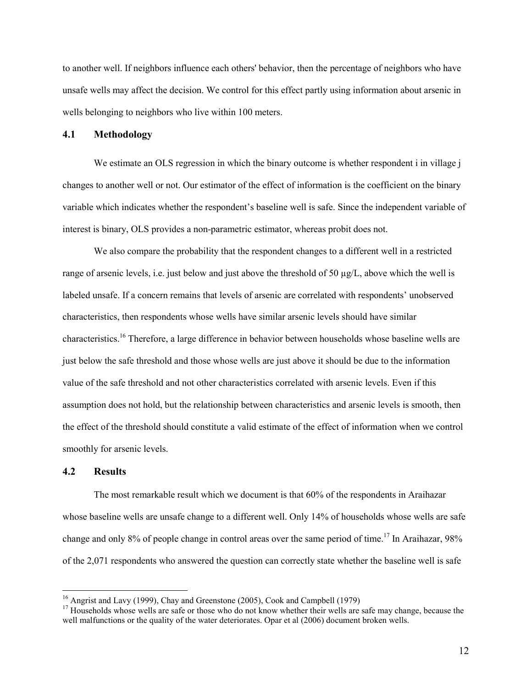to another well. If neighbors influence each others' behavior, then the percentage of neighbors who have unsafe wells may affect the decision. We control for this effect partly using information about arsenic in wells belonging to neighbors who live within 100 meters.

#### **4.1 Methodology**

We estimate an OLS regression in which the binary outcome is whether respondent i in village j changes to another well or not. Our estimator of the effect of information is the coefficient on the binary variable which indicates whether the respondent's baseline well is safe. Since the independent variable of interest is binary, OLS provides a non-parametric estimator, whereas probit does not.

 We also compare the probability that the respondent changes to a different well in a restricted range of arsenic levels, i.e. just below and just above the threshold of 50  $\mu$ g/L, above which the well is labeled unsafe. If a concern remains that levels of arsenic are correlated with respondents' unobserved characteristics, then respondents whose wells have similar arsenic levels should have similar characteristics.16 Therefore, a large difference in behavior between households whose baseline wells are just below the safe threshold and those whose wells are just above it should be due to the information value of the safe threshold and not other characteristics correlated with arsenic levels. Even if this assumption does not hold, but the relationship between characteristics and arsenic levels is smooth, then the effect of the threshold should constitute a valid estimate of the effect of information when we control smoothly for arsenic levels.

#### **4.2 Results**

 $\overline{a}$ 

The most remarkable result which we document is that 60% of the respondents in Araihazar whose baseline wells are unsafe change to a different well. Only 14% of households whose wells are safe change and only 8% of people change in control areas over the same period of time.<sup>17</sup> In Araihazar, 98% of the 2,071 respondents who answered the question can correctly state whether the baseline well is safe

<sup>&</sup>lt;sup>16</sup> Angrist and Lavy (1999), Chay and Greenstone (2005), Cook and Campbell (1979)

<sup>&</sup>lt;sup>17</sup> Households whose wells are safe or those who do not know whether their wells are safe may change, because the well malfunctions or the quality of the water deteriorates. Opar et al (2006) document broken wells.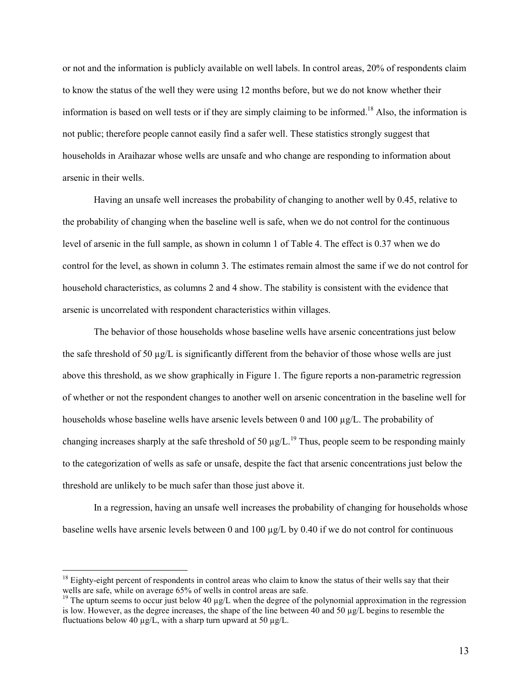or not and the information is publicly available on well labels. In control areas, 20% of respondents claim to know the status of the well they were using 12 months before, but we do not know whether their information is based on well tests or if they are simply claiming to be informed.<sup>18</sup> Also, the information is not public; therefore people cannot easily find a safer well. These statistics strongly suggest that households in Araihazar whose wells are unsafe and who change are responding to information about arsenic in their wells.

Having an unsafe well increases the probability of changing to another well by 0.45, relative to the probability of changing when the baseline well is safe, when we do not control for the continuous level of arsenic in the full sample, as shown in column 1 of Table 4. The effect is 0.37 when we do control for the level, as shown in column 3. The estimates remain almost the same if we do not control for household characteristics, as columns 2 and 4 show. The stability is consistent with the evidence that arsenic is uncorrelated with respondent characteristics within villages.

The behavior of those households whose baseline wells have arsenic concentrations just below the safe threshold of 50  $\mu$ g/L is significantly different from the behavior of those whose wells are just above this threshold, as we show graphically in Figure 1. The figure reports a non-parametric regression of whether or not the respondent changes to another well on arsenic concentration in the baseline well for households whose baseline wells have arsenic levels between 0 and 100  $\mu$ g/L. The probability of changing increases sharply at the safe threshold of 50  $\mu$ g/L.<sup>19</sup> Thus, people seem to be responding mainly to the categorization of wells as safe or unsafe, despite the fact that arsenic concentrations just below the threshold are unlikely to be much safer than those just above it.

In a regression, having an unsafe well increases the probability of changing for households whose baseline wells have arsenic levels between 0 and 100  $\mu$ g/L by 0.40 if we do not control for continuous

 $18$  Eighty-eight percent of respondents in control areas who claim to know the status of their wells say that their wells are safe, while on average 65% of wells in control areas are safe.

<sup>&</sup>lt;sup>19</sup> The upturn seems to occur just below 40  $\mu$ g/L when the degree of the polynomial approximation in the regression is low. However, as the degree increases, the shape of the line between 40 and 50 µg/L begins to resemble the fluctuations below 40  $\mu$ g/L, with a sharp turn upward at 50  $\mu$ g/L.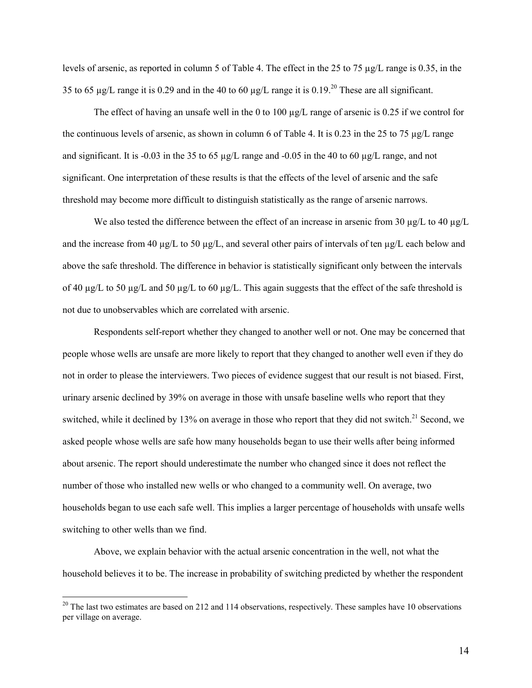levels of arsenic, as reported in column 5 of Table 4. The effect in the 25 to 75 µg/L range is 0.35, in the 35 to 65  $\mu$ g/L range it is 0.29 and in the 40 to 60  $\mu$ g/L range it is 0.19<sup>20</sup> These are all significant.

The effect of having an unsafe well in the 0 to 100  $\mu$ g/L range of arsenic is 0.25 if we control for the continuous levels of arsenic, as shown in column 6 of Table 4. It is 0.23 in the 25 to 75 µg/L range and significant. It is -0.03 in the 35 to 65 µg/L range and -0.05 in the 40 to 60 µg/L range, and not significant. One interpretation of these results is that the effects of the level of arsenic and the safe threshold may become more difficult to distinguish statistically as the range of arsenic narrows.

We also tested the difference between the effect of an increase in arsenic from 30  $\mu$ g/L to 40  $\mu$ g/L and the increase from 40 µg/L to 50 µg/L, and several other pairs of intervals of ten µg/L each below and above the safe threshold. The difference in behavior is statistically significant only between the intervals of 40  $\mu$ g/L to 50  $\mu$ g/L and 50  $\mu$ g/L to 60  $\mu$ g/L. This again suggests that the effect of the safe threshold is not due to unobservables which are correlated with arsenic.

Respondents self-report whether they changed to another well or not. One may be concerned that people whose wells are unsafe are more likely to report that they changed to another well even if they do not in order to please the interviewers. Two pieces of evidence suggest that our result is not biased. First, urinary arsenic declined by 39% on average in those with unsafe baseline wells who report that they switched, while it declined by 13% on average in those who report that they did not switch.<sup>21</sup> Second, we asked people whose wells are safe how many households began to use their wells after being informed about arsenic. The report should underestimate the number who changed since it does not reflect the number of those who installed new wells or who changed to a community well. On average, two households began to use each safe well. This implies a larger percentage of households with unsafe wells switching to other wells than we find.

Above, we explain behavior with the actual arsenic concentration in the well, not what the household believes it to be. The increase in probability of switching predicted by whether the respondent

 $20$  The last two estimates are based on 212 and 114 observations, respectively. These samples have 10 observations per village on average.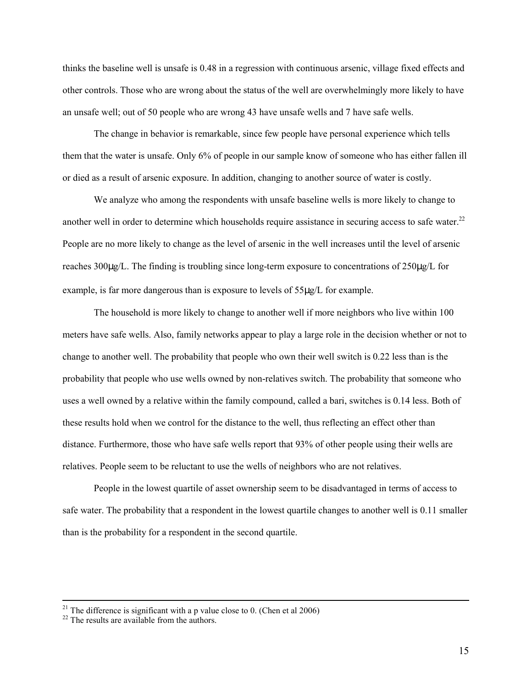thinks the baseline well is unsafe is 0.48 in a regression with continuous arsenic, village fixed effects and other controls. Those who are wrong about the status of the well are overwhelmingly more likely to have an unsafe well; out of 50 people who are wrong 43 have unsafe wells and 7 have safe wells.

The change in behavior is remarkable, since few people have personal experience which tells them that the water is unsafe. Only 6% of people in our sample know of someone who has either fallen ill or died as a result of arsenic exposure. In addition, changing to another source of water is costly.

We analyze who among the respondents with unsafe baseline wells is more likely to change to another well in order to determine which households require assistance in securing access to safe water.<sup>22</sup> People are no more likely to change as the level of arsenic in the well increases until the level of arsenic reaches 300µg/L. The finding is troubling since long-term exposure to concentrations of 250µg/L for example, is far more dangerous than is exposure to levels of 55µg/L for example.

The household is more likely to change to another well if more neighbors who live within 100 meters have safe wells. Also, family networks appear to play a large role in the decision whether or not to change to another well. The probability that people who own their well switch is 0.22 less than is the probability that people who use wells owned by non-relatives switch. The probability that someone who uses a well owned by a relative within the family compound, called a bari, switches is 0.14 less. Both of these results hold when we control for the distance to the well, thus reflecting an effect other than distance. Furthermore, those who have safe wells report that 93% of other people using their wells are relatives. People seem to be reluctant to use the wells of neighbors who are not relatives.

People in the lowest quartile of asset ownership seem to be disadvantaged in terms of access to safe water. The probability that a respondent in the lowest quartile changes to another well is 0.11 smaller than is the probability for a respondent in the second quartile.

<sup>&</sup>lt;sup>21</sup> The difference is significant with a p value close to 0. (Chen et al 2006)

<sup>&</sup>lt;sup>22</sup> The results are available from the authors.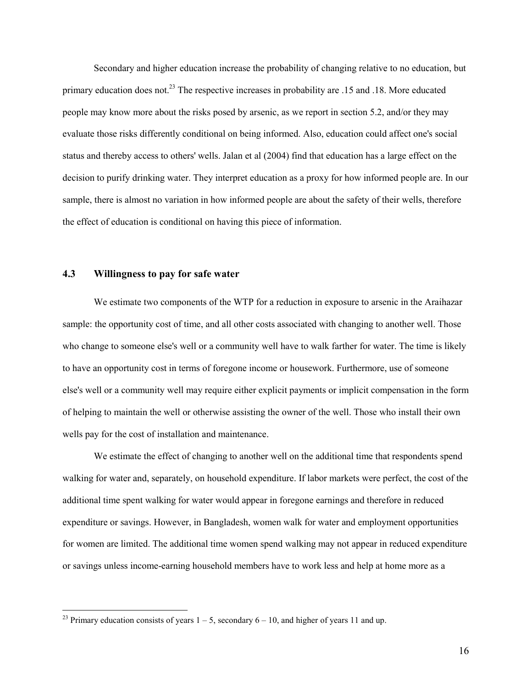Secondary and higher education increase the probability of changing relative to no education, but primary education does not.<sup>23</sup> The respective increases in probability are .15 and .18. More educated people may know more about the risks posed by arsenic, as we report in section 5.2, and/or they may evaluate those risks differently conditional on being informed. Also, education could affect one's social status and thereby access to others' wells. Jalan et al (2004) find that education has a large effect on the decision to purify drinking water. They interpret education as a proxy for how informed people are. In our sample, there is almost no variation in how informed people are about the safety of their wells, therefore the effect of education is conditional on having this piece of information.

## **4.3 Willingness to pay for safe water**

 $\overline{a}$ 

We estimate two components of the WTP for a reduction in exposure to arsenic in the Araihazar sample: the opportunity cost of time, and all other costs associated with changing to another well. Those who change to someone else's well or a community well have to walk farther for water. The time is likely to have an opportunity cost in terms of foregone income or housework. Furthermore, use of someone else's well or a community well may require either explicit payments or implicit compensation in the form of helping to maintain the well or otherwise assisting the owner of the well. Those who install their own wells pay for the cost of installation and maintenance.

We estimate the effect of changing to another well on the additional time that respondents spend walking for water and, separately, on household expenditure. If labor markets were perfect, the cost of the additional time spent walking for water would appear in foregone earnings and therefore in reduced expenditure or savings. However, in Bangladesh, women walk for water and employment opportunities for women are limited. The additional time women spend walking may not appear in reduced expenditure or savings unless income-earning household members have to work less and help at home more as a

<sup>&</sup>lt;sup>23</sup> Primary education consists of years  $1 - 5$ , secondary  $6 - 10$ , and higher of years 11 and up.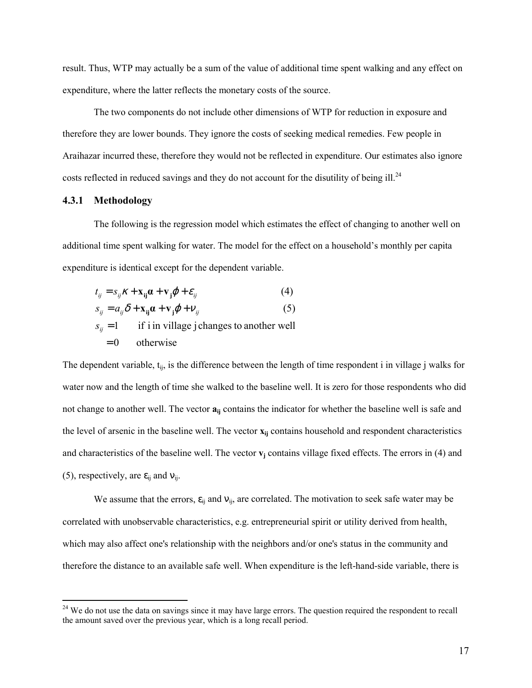result. Thus, WTP may actually be a sum of the value of additional time spent walking and any effect on expenditure, where the latter reflects the monetary costs of the source.

The two components do not include other dimensions of WTP for reduction in exposure and therefore they are lower bounds. They ignore the costs of seeking medical remedies. Few people in Araihazar incurred these, therefore they would not be reflected in expenditure. Our estimates also ignore costs reflected in reduced savings and they do not account for the disutility of being ill.<sup>24</sup>

#### **4.3.1 Methodology**

 $\overline{a}$ 

The following is the regression model which estimates the effect of changing to another well on additional time spent walking for water. The model for the effect on a household's monthly per capita expenditure is identical except for the dependent variable.

$$
t_{ij} = s_{ij} \kappa + \mathbf{x}_{ij} \mathbf{a} + \mathbf{v}_j \boldsymbol{\varphi} + \boldsymbol{\varepsilon}_{ij}
$$
 (4)

 (5)  $s_{ij} = a_{ij}\delta + \mathbf{x}_{ij}\mathbf{a} + \mathbf{v}_j\boldsymbol{\varphi} + \mathbf{v}_{ij}$ 

if i in village j changes to another well  $S_{ij}$  =

 0 otherwise  $= 0$ 

The dependent variable, t<sub>ij</sub>, is the difference between the length of time respondent i in village j walks for water now and the length of time she walked to the baseline well. It is zero for those respondents who did not change to another well. The vector  $a_{ij}$  contains the indicator for whether the baseline well is safe and the level of arsenic in the baseline well. The vector **xij** contains household and respondent characteristics and characteristics of the baseline well. The vector **v**<sub>j</sub> contains village fixed effects. The errors in (4) and (5), respectively, are  $\varepsilon_{ij}$  and  $v_{ij}$ .

We assume that the errors,  $\varepsilon_{ij}$  and  $v_{ij}$ , are correlated. The motivation to seek safe water may be correlated with unobservable characteristics, e.g. entrepreneurial spirit or utility derived from health, which may also affect one's relationship with the neighbors and/or one's status in the community and therefore the distance to an available safe well. When expenditure is the left-hand-side variable, there is

 $24$  We do not use the data on savings since it may have large errors. The question required the respondent to recall the amount saved over the previous year, which is a long recall period.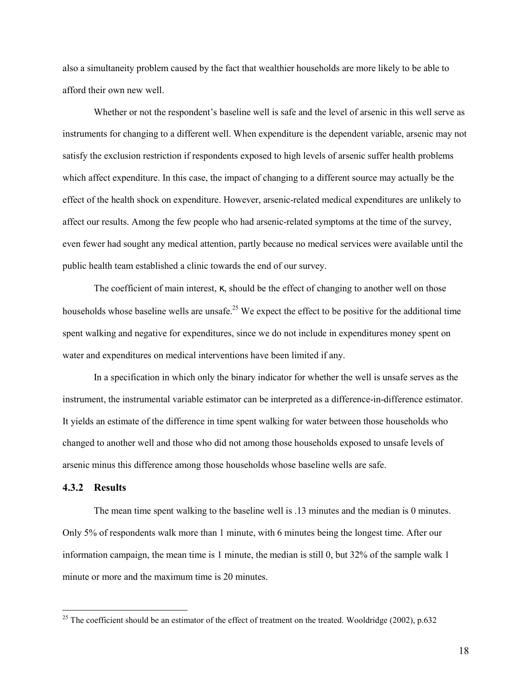also a simultaneity problem caused by the fact that wealthier households are more likely to be able to afford their own new well.

Whether or not the respondent's baseline well is safe and the level of arsenic in this well serve as instruments for changing to a different well. When expenditure is the dependent variable, arsenic may not satisfy the exclusion restriction if respondents exposed to high levels of arsenic suffer health problems which affect expenditure. In this case, the impact of changing to a different source may actually be the effect of the health shock on expenditure. However, arsenic-related medical expenditures are unlikely to affect our results. Among the few people who had arsenic-related symptoms at the time of the survey, even fewer had sought any medical attention, partly because no medical services were available until the public health team established a clinic towards the end of our survey.

The coefficient of main interest,  $\kappa$ , should be the effect of changing to another well on those households whose baseline wells are unsafe.<sup>25</sup> We expect the effect to be positive for the additional time spent walking and negative for expenditures, since we do not include in expenditures money spent on water and expenditures on medical interventions have been limited if any.

In a specification in which only the binary indicator for whether the well is unsafe serves as the instrument, the instrumental variable estimator can be interpreted as a difference-in-difference estimator. It yields an estimate of the difference in time spent walking for water between those households who changed to another well and those who did not among those households exposed to unsafe levels of arsenic minus this difference among those households whose baseline wells are safe.

## **4.3.2 Results**

 $\overline{a}$ 

The mean time spent walking to the baseline well is .13 minutes and the median is 0 minutes. Only 5% of respondents walk more than 1 minute, with 6 minutes being the longest time. After our information campaign, the mean time is 1 minute, the median is still 0, but 32% of the sample walk 1 minute or more and the maximum time is 20 minutes.

<sup>&</sup>lt;sup>25</sup> The coefficient should be an estimator of the effect of treatment on the treated. Wooldridge (2002), p.632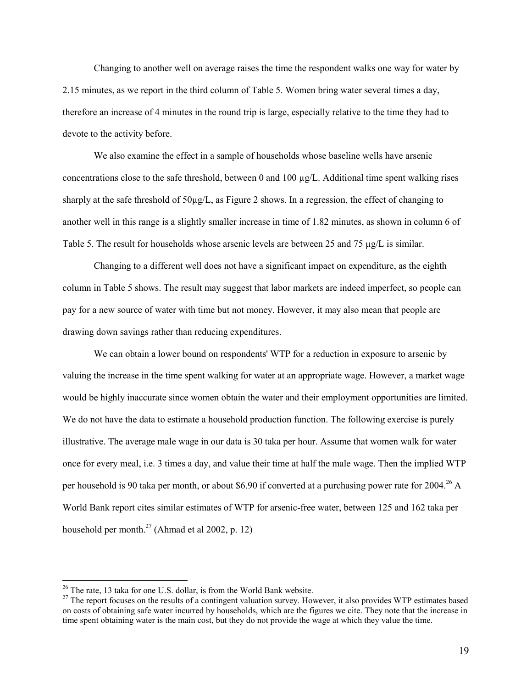Changing to another well on average raises the time the respondent walks one way for water by 2.15 minutes, as we report in the third column of Table 5. Women bring water several times a day, therefore an increase of 4 minutes in the round trip is large, especially relative to the time they had to devote to the activity before.

We also examine the effect in a sample of households whose baseline wells have arsenic concentrations close to the safe threshold, between 0 and 100  $\mu$ g/L. Additional time spent walking rises sharply at the safe threshold of 50µg/L, as Figure 2 shows. In a regression, the effect of changing to another well in this range is a slightly smaller increase in time of 1.82 minutes, as shown in column 6 of Table 5. The result for households whose arsenic levels are between 25 and 75 µg/L is similar.

Changing to a different well does not have a significant impact on expenditure, as the eighth column in Table 5 shows. The result may suggest that labor markets are indeed imperfect, so people can pay for a new source of water with time but not money. However, it may also mean that people are drawing down savings rather than reducing expenditures.

We can obtain a lower bound on respondents' WTP for a reduction in exposure to arsenic by valuing the increase in the time spent walking for water at an appropriate wage. However, a market wage would be highly inaccurate since women obtain the water and their employment opportunities are limited. We do not have the data to estimate a household production function. The following exercise is purely illustrative. The average male wage in our data is 30 taka per hour. Assume that women walk for water once for every meal, i.e. 3 times a day, and value their time at half the male wage. Then the implied WTP per household is 90 taka per month, or about \$6.90 if converted at a purchasing power rate for 2004.<sup>26</sup> A World Bank report cites similar estimates of WTP for arsenic-free water, between 125 and 162 taka per household per month.<sup>27</sup> (Ahmad et al 2002, p. 12)

 $26$ <sup>26</sup> The rate, 13 taka for one U.S. dollar, is from the World Bank website.

 $27$  The report focuses on the results of a contingent valuation survey. However, it also provides WTP estimates based on costs of obtaining safe water incurred by households, which are the figures we cite. They note that the increase in time spent obtaining water is the main cost, but they do not provide the wage at which they value the time.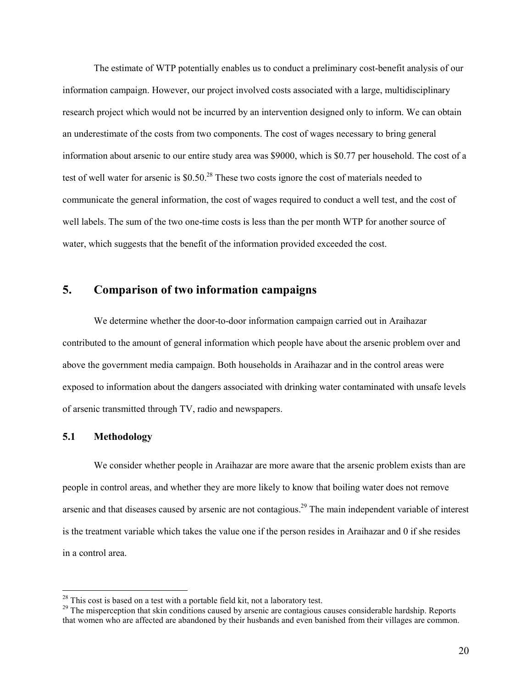The estimate of WTP potentially enables us to conduct a preliminary cost-benefit analysis of our information campaign. However, our project involved costs associated with a large, multidisciplinary research project which would not be incurred by an intervention designed only to inform. We can obtain an underestimate of the costs from two components. The cost of wages necessary to bring general information about arsenic to our entire study area was \$9000, which is \$0.77 per household. The cost of a test of well water for arsenic is \$0.50<sup>28</sup>. These two costs ignore the cost of materials needed to communicate the general information, the cost of wages required to conduct a well test, and the cost of well labels. The sum of the two one-time costs is less than the per month WTP for another source of water, which suggests that the benefit of the information provided exceeded the cost.

# **5. Comparison of two information campaigns**

We determine whether the door-to-door information campaign carried out in Araihazar contributed to the amount of general information which people have about the arsenic problem over and above the government media campaign. Both households in Araihazar and in the control areas were exposed to information about the dangers associated with drinking water contaminated with unsafe levels of arsenic transmitted through TV, radio and newspapers.

## **5.1 Methodology**

 $\overline{a}$ 

We consider whether people in Araihazar are more aware that the arsenic problem exists than are people in control areas, and whether they are more likely to know that boiling water does not remove arsenic and that diseases caused by arsenic are not contagious.<sup>29</sup> The main independent variable of interest is the treatment variable which takes the value one if the person resides in Araihazar and 0 if she resides in a control area.

 $28$  This cost is based on a test with a portable field kit, not a laboratory test.

<sup>&</sup>lt;sup>29</sup> The misperception that skin conditions caused by arsenic are contagious causes considerable hardship. Reports that women who are affected are abandoned by their husbands and even banished from their villages are common.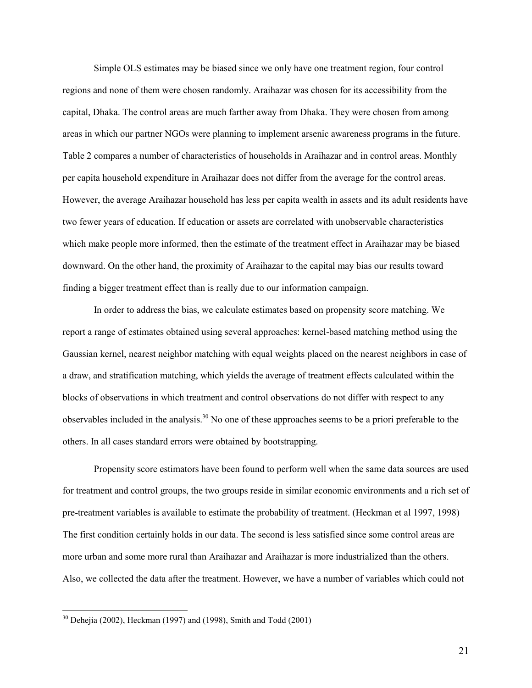Simple OLS estimates may be biased since we only have one treatment region, four control regions and none of them were chosen randomly. Araihazar was chosen for its accessibility from the capital, Dhaka. The control areas are much farther away from Dhaka. They were chosen from among areas in which our partner NGOs were planning to implement arsenic awareness programs in the future. Table 2 compares a number of characteristics of households in Araihazar and in control areas. Monthly per capita household expenditure in Araihazar does not differ from the average for the control areas. However, the average Araihazar household has less per capita wealth in assets and its adult residents have two fewer years of education. If education or assets are correlated with unobservable characteristics which make people more informed, then the estimate of the treatment effect in Araihazar may be biased downward. On the other hand, the proximity of Araihazar to the capital may bias our results toward finding a bigger treatment effect than is really due to our information campaign.

In order to address the bias, we calculate estimates based on propensity score matching. We report a range of estimates obtained using several approaches: kernel-based matching method using the Gaussian kernel, nearest neighbor matching with equal weights placed on the nearest neighbors in case of a draw, and stratification matching, which yields the average of treatment effects calculated within the blocks of observations in which treatment and control observations do not differ with respect to any observables included in the analysis.<sup>30</sup> No one of these approaches seems to be a priori preferable to the others. In all cases standard errors were obtained by bootstrapping.

Propensity score estimators have been found to perform well when the same data sources are used for treatment and control groups, the two groups reside in similar economic environments and a rich set of pre-treatment variables is available to estimate the probability of treatment. (Heckman et al 1997, 1998) The first condition certainly holds in our data. The second is less satisfied since some control areas are more urban and some more rural than Araihazar and Araihazar is more industrialized than the others. Also, we collected the data after the treatment. However, we have a number of variables which could not

 $30$  Dehejia (2002), Heckman (1997) and (1998), Smith and Todd (2001)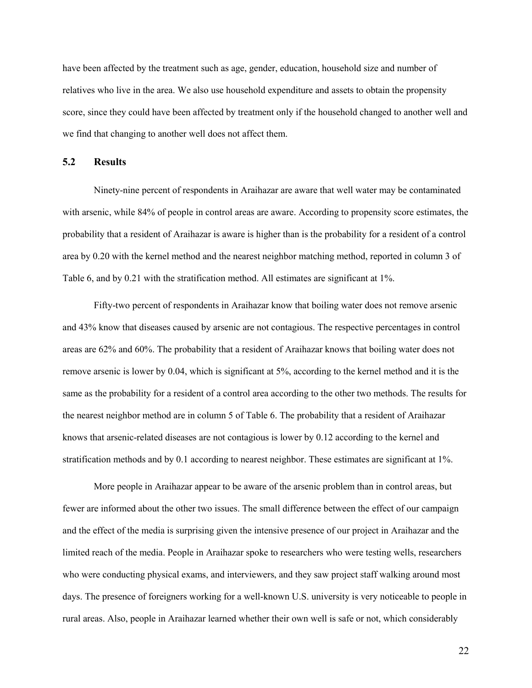have been affected by the treatment such as age, gender, education, household size and number of relatives who live in the area. We also use household expenditure and assets to obtain the propensity score, since they could have been affected by treatment only if the household changed to another well and we find that changing to another well does not affect them.

#### **5.2 Results**

Ninety-nine percent of respondents in Araihazar are aware that well water may be contaminated with arsenic, while 84% of people in control areas are aware. According to propensity score estimates, the probability that a resident of Araihazar is aware is higher than is the probability for a resident of a control area by 0.20 with the kernel method and the nearest neighbor matching method, reported in column 3 of Table 6, and by 0.21 with the stratification method. All estimates are significant at 1%.

Fifty-two percent of respondents in Araihazar know that boiling water does not remove arsenic and 43% know that diseases caused by arsenic are not contagious. The respective percentages in control areas are 62% and 60%. The probability that a resident of Araihazar knows that boiling water does not remove arsenic is lower by 0.04, which is significant at 5%, according to the kernel method and it is the same as the probability for a resident of a control area according to the other two methods. The results for the nearest neighbor method are in column 5 of Table 6. The probability that a resident of Araihazar knows that arsenic-related diseases are not contagious is lower by 0.12 according to the kernel and stratification methods and by 0.1 according to nearest neighbor. These estimates are significant at 1%.

More people in Araihazar appear to be aware of the arsenic problem than in control areas, but fewer are informed about the other two issues. The small difference between the effect of our campaign and the effect of the media is surprising given the intensive presence of our project in Araihazar and the limited reach of the media. People in Araihazar spoke to researchers who were testing wells, researchers who were conducting physical exams, and interviewers, and they saw project staff walking around most days. The presence of foreigners working for a well-known U.S. university is very noticeable to people in rural areas. Also, people in Araihazar learned whether their own well is safe or not, which considerably

22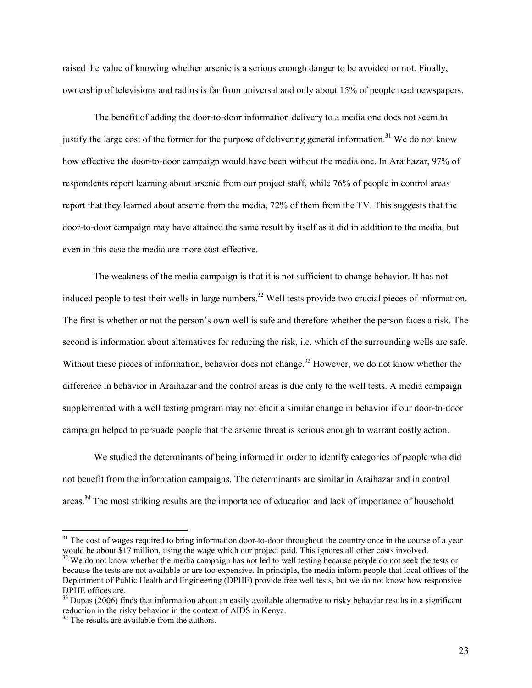raised the value of knowing whether arsenic is a serious enough danger to be avoided or not. Finally, ownership of televisions and radios is far from universal and only about 15% of people read newspapers.

The benefit of adding the door-to-door information delivery to a media one does not seem to justify the large cost of the former for the purpose of delivering general information.<sup>31</sup> We do not know how effective the door-to-door campaign would have been without the media one. In Araihazar, 97% of respondents report learning about arsenic from our project staff, while 76% of people in control areas report that they learned about arsenic from the media, 72% of them from the TV. This suggests that the door-to-door campaign may have attained the same result by itself as it did in addition to the media, but even in this case the media are more cost-effective.

The weakness of the media campaign is that it is not sufficient to change behavior. It has not induced people to test their wells in large numbers.<sup>32</sup> Well tests provide two crucial pieces of information. The first is whether or not the person's own well is safe and therefore whether the person faces a risk. The second is information about alternatives for reducing the risk, i.e. which of the surrounding wells are safe. Without these pieces of information, behavior does not change.<sup>33</sup> However, we do not know whether the difference in behavior in Araihazar and the control areas is due only to the well tests. A media campaign supplemented with a well testing program may not elicit a similar change in behavior if our door-to-door campaign helped to persuade people that the arsenic threat is serious enough to warrant costly action.

We studied the determinants of being informed in order to identify categories of people who did not benefit from the information campaigns. The determinants are similar in Araihazar and in control areas.34 The most striking results are the importance of education and lack of importance of household

<sup>&</sup>lt;sup>31</sup> The cost of wages required to bring information door-to-door throughout the country once in the course of a year would be about \$17 million, using the wage which our project paid. This ignores all other costs involved.

<sup>&</sup>lt;sup>32</sup> We do not know whether the media campaign has not led to well testing because people do not seek the tests or because the tests are not available or are too expensive. In principle, the media inform people that local offices of the Department of Public Health and Engineering (DPHE) provide free well tests, but we do not know how responsive DPHE offices are.

 $33$  Dupas (2006) finds that information about an easily available alternative to risky behavior results in a significant reduction in the risky behavior in the context of AIDS in Kenya.

<sup>&</sup>lt;sup>34</sup> The results are available from the authors.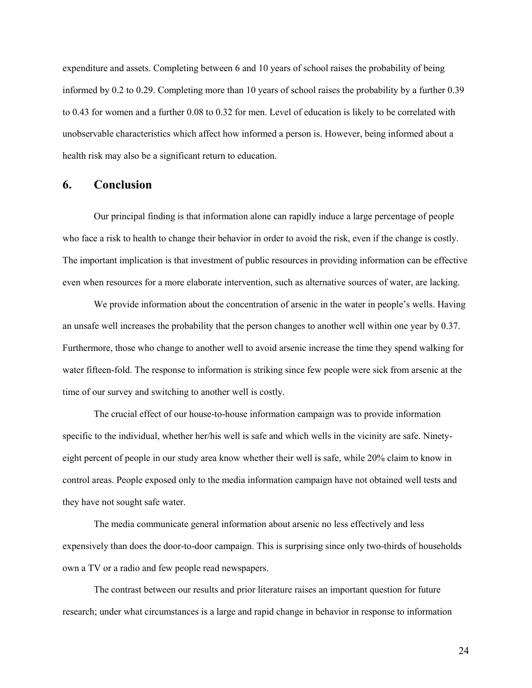expenditure and assets. Completing between 6 and 10 years of school raises the probability of being informed by 0.2 to 0.29. Completing more than 10 years of school raises the probability by a further 0.39 to 0.43 for women and a further 0.08 to 0.32 for men. Level of education is likely to be correlated with unobservable characteristics which affect how informed a person is. However, being informed about a health risk may also be a significant return to education.

## **6. Conclusion**

Our principal finding is that information alone can rapidly induce a large percentage of people who face a risk to health to change their behavior in order to avoid the risk, even if the change is costly. The important implication is that investment of public resources in providing information can be effective even when resources for a more elaborate intervention, such as alternative sources of water, are lacking.

We provide information about the concentration of arsenic in the water in people's wells. Having an unsafe well increases the probability that the person changes to another well within one year by 0.37. Furthermore, those who change to another well to avoid arsenic increase the time they spend walking for water fifteen-fold. The response to information is striking since few people were sick from arsenic at the time of our survey and switching to another well is costly.

The crucial effect of our house-to-house information campaign was to provide information specific to the individual, whether her/his well is safe and which wells in the vicinity are safe. Ninetyeight percent of people in our study area know whether their well is safe, while 20% claim to know in control areas. People exposed only to the media information campaign have not obtained well tests and they have not sought safe water.

The media communicate general information about arsenic no less effectively and less expensively than does the door-to-door campaign. This is surprising since only two-thirds of households own a TV or a radio and few people read newspapers.

The contrast between our results and prior literature raises an important question for future research; under what circumstances is a large and rapid change in behavior in response to information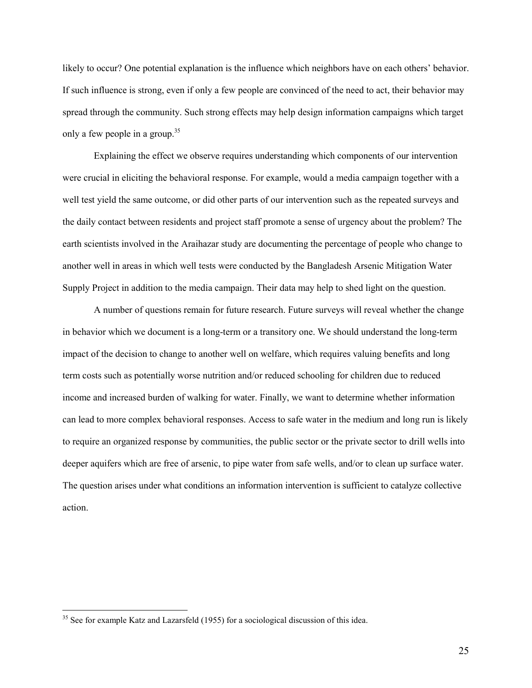likely to occur? One potential explanation is the influence which neighbors have on each others' behavior. If such influence is strong, even if only a few people are convinced of the need to act, their behavior may spread through the community. Such strong effects may help design information campaigns which target only a few people in a group.<sup>35</sup>

Explaining the effect we observe requires understanding which components of our intervention were crucial in eliciting the behavioral response. For example, would a media campaign together with a well test yield the same outcome, or did other parts of our intervention such as the repeated surveys and the daily contact between residents and project staff promote a sense of urgency about the problem? The earth scientists involved in the Araihazar study are documenting the percentage of people who change to another well in areas in which well tests were conducted by the Bangladesh Arsenic Mitigation Water Supply Project in addition to the media campaign. Their data may help to shed light on the question.

A number of questions remain for future research. Future surveys will reveal whether the change in behavior which we document is a long-term or a transitory one. We should understand the long-term impact of the decision to change to another well on welfare, which requires valuing benefits and long term costs such as potentially worse nutrition and/or reduced schooling for children due to reduced income and increased burden of walking for water. Finally, we want to determine whether information can lead to more complex behavioral responses. Access to safe water in the medium and long run is likely to require an organized response by communities, the public sector or the private sector to drill wells into deeper aquifers which are free of arsenic, to pipe water from safe wells, and/or to clean up surface water. The question arises under what conditions an information intervention is sufficient to catalyze collective action.

<sup>&</sup>lt;sup>35</sup> See for example Katz and Lazarsfeld (1955) for a sociological discussion of this idea.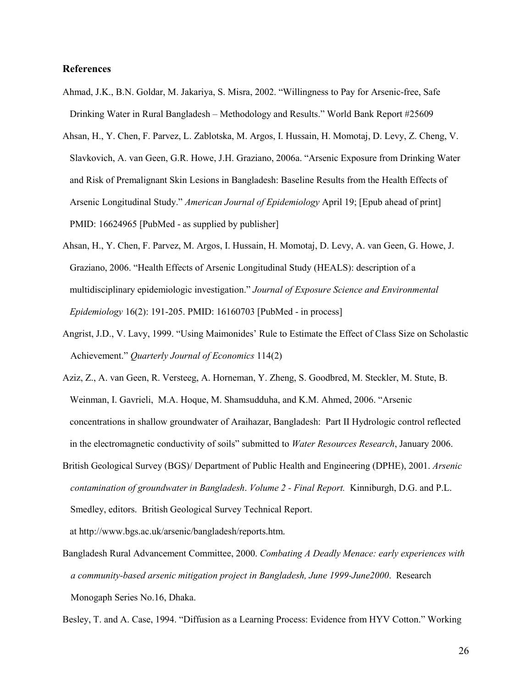## **References**

- Ahmad, J.K., B.N. Goldar, M. Jakariya, S. Misra, 2002. "Willingness to Pay for Arsenic-free, Safe Drinking Water in Rural Bangladesh – Methodology and Results." World Bank Report #25609
- Ahsan, H., Y. Chen, F. Parvez, L. Zablotska, M. Argos, I. Hussain, H. Momotaj, D. Levy, Z. Cheng, V. Slavkovich, A. van Geen, G.R. Howe, J.H. Graziano, 2006a. "Arsenic Exposure from Drinking Water and Risk of Premalignant Skin Lesions in Bangladesh: Baseline Results from the Health Effects of Arsenic Longitudinal Study." *American Journal of Epidemiology* April 19; [Epub ahead of print] PMID: 16624965 [PubMed - as supplied by publisher]
- Ahsan, H., Y. Chen, F. Parvez, M. Argos, I. Hussain, H. Momotaj, D. Levy, A. van Geen, G. Howe, J. Graziano, 2006. "Health Effects of Arsenic Longitudinal Study (HEALS): description of a multidisciplinary epidemiologic investigation." *Journal of Exposure Science and Environmental Epidemiology* 16(2): 191-205. PMID: 16160703 [PubMed - in process]
- Angrist, J.D., V. Lavy, 1999. "Using Maimonides' Rule to Estimate the Effect of Class Size on Scholastic Achievement." *Quarterly Journal of Economics* 114(2)
- Aziz, Z., A. van Geen, R. Versteeg, A. Horneman, Y. Zheng, S. Goodbred, M. Steckler, M. Stute, B. Weinman, I. Gavrieli, M.A. Hoque, M. Shamsudduha, and K.M. Ahmed, 2006. "Arsenic concentrations in shallow groundwater of Araihazar, Bangladesh: Part II Hydrologic control reflected in the electromagnetic conductivity of soils" submitted to *Water Resources Research*, January 2006.
- British Geological Survey (BGS)/ Department of Public Health and Engineering (DPHE), 2001. *Arsenic contamination of groundwater in Bangladesh*. *Volume 2 - Final Report.* Kinniburgh, D.G. and P.L. Smedley, editors. British Geological Survey Technical Report.

at http://www.bgs.ac.uk/arsenic/bangladesh/reports.htm.

Bangladesh Rural Advancement Committee, 2000. *Combating A Deadly Menace: early experiences with a community-based arsenic mitigation project in Bangladesh, June 1999-June2000*. Research Monogaph Series No.16, Dhaka.

Besley, T. and A. Case, 1994. "Diffusion as a Learning Process: Evidence from HYV Cotton." Working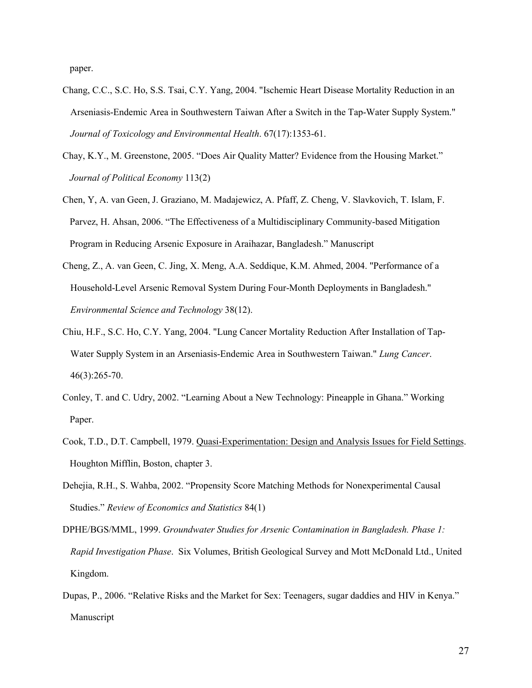paper.

- Chang, C.C., S.C. Ho, S.S. Tsai, C.Y. Yang, 2004. "Ischemic Heart Disease Mortality Reduction in an Arseniasis-Endemic Area in Southwestern Taiwan After a Switch in the Tap-Water Supply System." *Journal of Toxicology and Environmental Health*. 67(17):1353-61.
- Chay, K.Y., M. Greenstone, 2005. "Does Air Quality Matter? Evidence from the Housing Market." *Journal of Political Economy* 113(2)
- Chen, Y, A. van Geen, J. Graziano, M. Madajewicz, A. Pfaff, Z. Cheng, V. Slavkovich, T. Islam, F. Parvez, H. Ahsan, 2006. "The Effectiveness of a Multidisciplinary Community-based Mitigation Program in Reducing Arsenic Exposure in Araihazar, Bangladesh." Manuscript
- Cheng, Z., A. van Geen, C. Jing, X. Meng, A.A. Seddique, K.M. Ahmed, 2004. "Performance of a Household-Level Arsenic Removal System During Four-Month Deployments in Bangladesh." *Environmental Science and Technology* 38(12).
- Chiu, H.F., S.C. Ho, C.Y. Yang, 2004. "Lung Cancer Mortality Reduction After Installation of Tap-Water Supply System in an Arseniasis-Endemic Area in Southwestern Taiwan." *Lung Cancer*. 46(3):265-70.
- Conley, T. and C. Udry, 2002. "Learning About a New Technology: Pineapple in Ghana." Working Paper.
- Cook, T.D., D.T. Campbell, 1979. Quasi-Experimentation: Design and Analysis Issues for Field Settings. Houghton Mifflin, Boston, chapter 3.
- Dehejia, R.H., S. Wahba, 2002. "Propensity Score Matching Methods for Nonexperimental Causal Studies." *Review of Economics and Statistics* 84(1)
- DPHE/BGS/MML, 1999. *Groundwater Studies for Arsenic Contamination in Bangladesh. Phase 1: Rapid Investigation Phase*. Six Volumes, British Geological Survey and Mott McDonald Ltd., United Kingdom.
- Dupas, P., 2006. "Relative Risks and the Market for Sex: Teenagers, sugar daddies and HIV in Kenya." Manuscript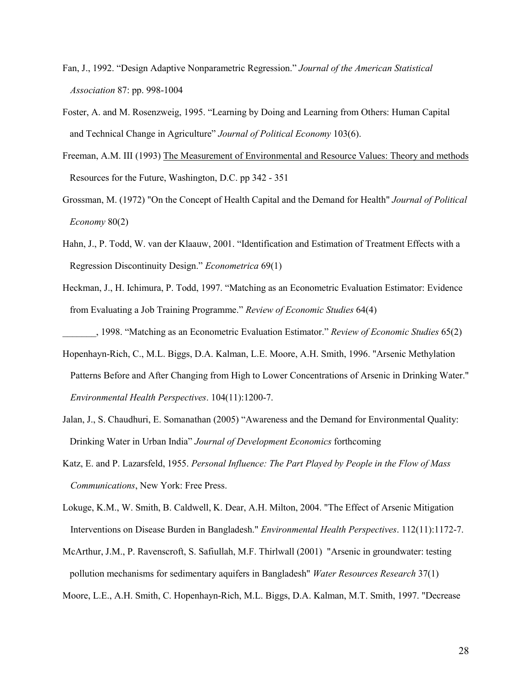- Fan, J., 1992. "Design Adaptive Nonparametric Regression." *Journal of the American Statistical Association* 87: pp. 998-1004
- Foster, A. and M. Rosenzweig, 1995. "Learning by Doing and Learning from Others: Human Capital and Technical Change in Agriculture" *Journal of Political Economy* 103(6).
- Freeman, A.M. III (1993) The Measurement of Environmental and Resource Values: Theory and methods Resources for the Future, Washington, D.C. pp 342 - 351
- Grossman, M. (1972) "On the Concept of Health Capital and the Demand for Health" *Journal of Political Economy* 80(2)
- Hahn, J., P. Todd, W. van der Klaauw, 2001. "Identification and Estimation of Treatment Effects with a Regression Discontinuity Design." *Econometrica* 69(1)
- Heckman, J., H. Ichimura, P. Todd, 1997. "Matching as an Econometric Evaluation Estimator: Evidence from Evaluating a Job Training Programme." *Review of Economic Studies* 64(4)
- \_\_\_\_\_\_\_, 1998. "Matching as an Econometric Evaluation Estimator." *Review of Economic Studies* 65(2)
- Hopenhayn-Rich, C., M.L. Biggs, D.A. Kalman, L.E. Moore, A.H. Smith, 1996. "Arsenic Methylation Patterns Before and After Changing from High to Lower Concentrations of Arsenic in Drinking Water." *Environmental Health Perspectives*. 104(11):1200-7.
- Jalan, J., S. Chaudhuri, E. Somanathan (2005) "Awareness and the Demand for Environmental Quality: Drinking Water in Urban India" *Journal of Development Economics* forthcoming
- Katz, E. and P. Lazarsfeld, 1955. *Personal Influence: The Part Played by People in the Flow of Mass Communications*, New York: Free Press.
- Lokuge, K.M., W. Smith, B. Caldwell, K. Dear, A.H. Milton, 2004. "The Effect of Arsenic Mitigation Interventions on Disease Burden in Bangladesh." *Environmental Health Perspectives*. 112(11):1172-7.
- McArthur, J.M., P. Ravenscroft, S. Safiullah, M.F. Thirlwall (2001) "Arsenic in groundwater: testing pollution mechanisms for sedimentary aquifers in Bangladesh" *Water Resources Research* 37(1)
- Moore, L.E., A.H. Smith, C. Hopenhayn-Rich, M.L. Biggs, D.A. Kalman, M.T. Smith, 1997. "Decrease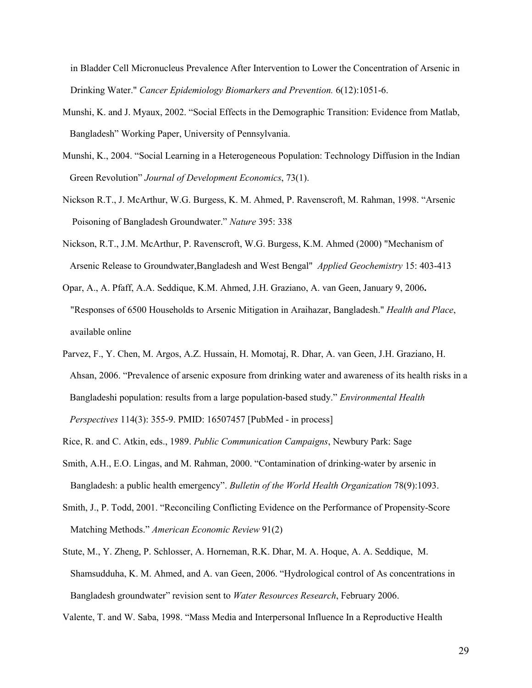in Bladder Cell Micronucleus Prevalence After Intervention to Lower the Concentration of Arsenic in Drinking Water." *Cancer Epidemiology Biomarkers and Prevention.* 6(12):1051-6.

- Munshi, K. and J. Myaux, 2002. "Social Effects in the Demographic Transition: Evidence from Matlab, Bangladesh" Working Paper, University of Pennsylvania.
- Munshi, K., 2004. "Social Learning in a Heterogeneous Population: Technology Diffusion in the Indian Green Revolution" *Journal of Development Economics*, 73(1).
- Nickson R.T., J. McArthur, W.G. Burgess, K. M. Ahmed, P. Ravenscroft, M. Rahman, 1998. "Arsenic Poisoning of Bangladesh Groundwater." *Nature* 395: 338
- Nickson, R.T., J.M. McArthur, P. Ravenscroft, W.G. Burgess, K.M. Ahmed (2000) "Mechanism of Arsenic Release to Groundwater,Bangladesh and West Bengal" *Applied Geochemistry* 15: 403-413
- Opar, A., A. Pfaff, A.A. Seddique, K.M. Ahmed, J.H. Graziano, A. van Geen, January 9, 2006**.**  "Responses of 6500 Households to Arsenic Mitigation in Araihazar, Bangladesh." *Health and Place*, available online
- Parvez, F., Y. Chen, M. Argos, A.Z. Hussain, H. Momotaj, R. Dhar, A. van Geen, J.H. Graziano, H. Ahsan, 2006. "Prevalence of arsenic exposure from drinking water and awareness of its health risks in a Bangladeshi population: results from a large population-based study." *Environmental Health Perspectives* 114(3): 355-9. PMID: 16507457 [PubMed - in process]
- Rice, R. and C. Atkin, eds., 1989. *Public Communication Campaigns*, Newbury Park: Sage
- Smith, A.H., E.O. Lingas, and M. Rahman, 2000. "Contamination of drinking-water by arsenic in Bangladesh: a public health emergency". *Bulletin of the World Health Organization* 78(9):1093.
- Smith, J., P. Todd, 2001. "Reconciling Conflicting Evidence on the Performance of Propensity-Score Matching Methods." *American Economic Review* 91(2)
- Stute, M., Y. Zheng, P. Schlosser, A. Horneman, R.K. Dhar, M. A. Hoque, A. A. Seddique, M. Shamsudduha, K. M. Ahmed, and A. van Geen, 2006. "Hydrological control of As concentrations in Bangladesh groundwater" revision sent to *Water Resources Research*, February 2006.

Valente, T. and W. Saba, 1998. "Mass Media and Interpersonal Influence In a Reproductive Health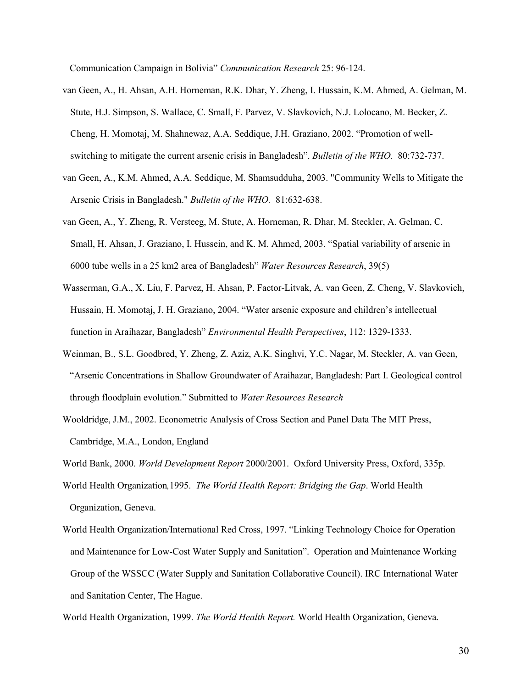Communication Campaign in Bolivia" *Communication Research* 25: 96-124.

- van Geen, A., H. Ahsan, A.H. Horneman, R.K. Dhar, Y. Zheng, I. Hussain, K.M. Ahmed, A. Gelman, M. Stute, H.J. Simpson, S. Wallace, C. Small, F. Parvez, V. Slavkovich, N.J. Lolocano, M. Becker, Z. Cheng, H. Momotaj, M. Shahnewaz, A.A. Seddique, J.H. Graziano, 2002. "Promotion of wellswitching to mitigate the current arsenic crisis in Bangladesh". *Bulletin of the WHO.* 80:732-737.
- van Geen, A., K.M. Ahmed, A.A. Seddique, M. Shamsudduha, 2003. "Community Wells to Mitigate the Arsenic Crisis in Bangladesh." *Bulletin of the WHO.* 81:632-638.
- van Geen, A., Y. Zheng, R. Versteeg, M. Stute, A. Horneman, R. Dhar, M. Steckler, A. Gelman, C. Small, H. Ahsan, J. Graziano, I. Hussein, and K. M. Ahmed, 2003. "Spatial variability of arsenic in 6000 tube wells in a 25 km2 area of Bangladesh" *Water Resources Research*, 39(5)
- Wasserman, G.A., X. Liu, F. Parvez, H. Ahsan, P. Factor-Litvak, A. van Geen, Z. Cheng, V. Slavkovich, Hussain, H. Momotaj, J. H. Graziano, 2004. "Water arsenic exposure and children's intellectual function in Araihazar, Bangladesh" *Environmental Health Perspectives*, 112: 1329-1333.
- Weinman, B., S.L. Goodbred, Y. Zheng, Z. Aziz, A.K. Singhvi, Y.C. Nagar, M. Steckler, A. van Geen, "Arsenic Concentrations in Shallow Groundwater of Araihazar, Bangladesh: Part I. Geological control through floodplain evolution." Submitted to *Water Resources Research*
- Wooldridge, J.M., 2002. Econometric Analysis of Cross Section and Panel Data The MIT Press, Cambridge, M.A., London, England

- World Health Organization*,*1995. *The World Health Report: Bridging the Gap*. World Health Organization, Geneva.
- World Health Organization/International Red Cross, 1997. "Linking Technology Choice for Operation and Maintenance for Low-Cost Water Supply and Sanitation". Operation and Maintenance Working Group of the WSSCC (Water Supply and Sanitation Collaborative Council). IRC International Water and Sanitation Center, The Hague.
- World Health Organization, 1999. *The World Health Report.* World Health Organization, Geneva.

World Bank, 2000. *World Development Report* 2000/2001. Oxford University Press, Oxford, 335p.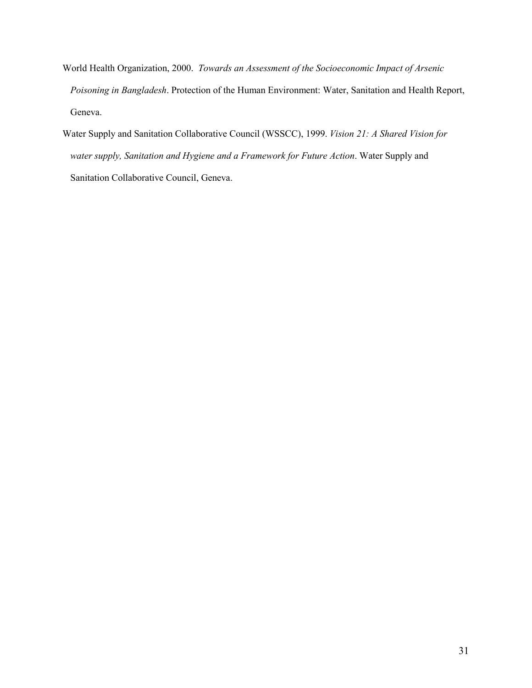- World Health Organization, 2000. *Towards an Assessment of the Socioeconomic Impact of Arsenic Poisoning in Bangladesh*. Protection of the Human Environment: Water, Sanitation and Health Report, Geneva.
- Water Supply and Sanitation Collaborative Council (WSSCC), 1999. *Vision 21: A Shared Vision for water supply, Sanitation and Hygiene and a Framework for Future Action*. Water Supply and Sanitation Collaborative Council, Geneva.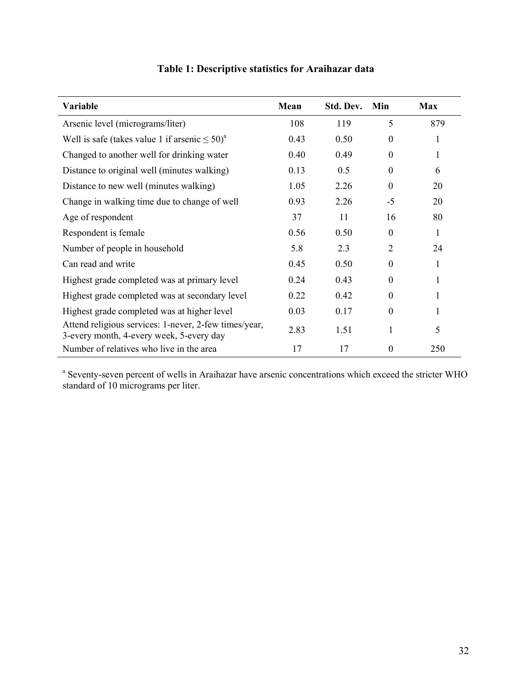| Variable                                                                                          | Mean | Std. Dev. | Min              | <b>Max</b> |
|---------------------------------------------------------------------------------------------------|------|-----------|------------------|------------|
| Arsenic level (micrograms/liter)                                                                  | 108  | 119       | 5                | 879        |
| Well is safe (takes value 1 if arsenic $\leq 50$ ) <sup>a</sup>                                   | 0.43 | 0.50      | $\theta$         | 1          |
| Changed to another well for drinking water                                                        | 0.40 | 0.49      | $\theta$         | 1          |
| Distance to original well (minutes walking)                                                       | 0.13 | 0.5       | $\mathbf{0}$     | 6          |
| Distance to new well (minutes walking)                                                            | 1.05 | 2.26      | $\mathbf{0}$     | 20         |
| Change in walking time due to change of well                                                      | 0.93 | 2.26      | $-5$             | 20         |
| Age of respondent                                                                                 | 37   | 11        | 16               | 80         |
| Respondent is female                                                                              | 0.56 | 0.50      | $\mathbf{0}$     | 1          |
| Number of people in household                                                                     | 5.8  | 2.3       | 2                | 24         |
| Can read and write                                                                                | 0.45 | 0.50      | $\Omega$         | 1          |
| Highest grade completed was at primary level                                                      | 0.24 | 0.43      | $\Omega$         |            |
| Highest grade completed was at secondary level                                                    | 0.22 | 0.42      | $\Omega$         | 1          |
| Highest grade completed was at higher level                                                       | 0.03 | 0.17      | $\boldsymbol{0}$ | 1          |
| Attend religious services: 1-never, 2-few times/year,<br>3-every month, 4-every week, 5-every day | 2.83 | 1.51      |                  | 5          |
| Number of relatives who live in the area                                                          | 17   | 17        | $\theta$         | 250        |

# **Table 1: Descriptive statistics for Araihazar data**

<sup>a</sup> Seventy-seven percent of wells in Araihazar have arsenic concentrations which exceed the stricter WHO standard of 10 micrograms per liter.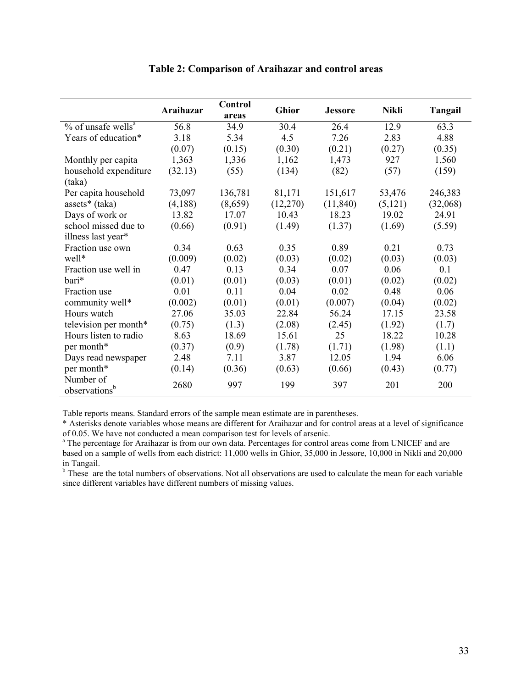|                                        | Araihazar | <b>Control</b><br>areas | <b>Ghior</b> | <b>Jessore</b> | <b>Nikli</b> | <b>Tangail</b> |
|----------------------------------------|-----------|-------------------------|--------------|----------------|--------------|----------------|
| $%$ of unsafe wells <sup>a</sup>       | 56.8      | 34.9                    | 30.4         | 26.4           | 12.9         | 63.3           |
| Years of education*                    | 3.18      | 5.34                    | 4.5          | 7.26           | 2.83         | 4.88           |
|                                        | (0.07)    | (0.15)                  | (0.30)       | (0.21)         | (0.27)       | (0.35)         |
| Monthly per capita                     | 1,363     | 1,336                   | 1,162        | 1,473          | 927          | 1,560          |
| household expenditure                  | (32.13)   | (55)                    | (134)        | (82)           | (57)         | (159)          |
| (taka)                                 |           |                         |              |                |              |                |
| Per capita household                   | 73,097    | 136,781                 | 81,171       | 151,617        | 53,476       | 246,383        |
| assets* (taka)                         | (4,188)   | (8,659)                 | (12,270)     | (11, 840)      | (5,121)      | (32,068)       |
| Days of work or                        | 13.82     | 17.07                   | 10.43        | 18.23          | 19.02        | 24.91          |
| school missed due to                   | (0.66)    | (0.91)                  | (1.49)       | (1.37)         | (1.69)       | (5.59)         |
| illness last year*                     |           |                         |              |                |              |                |
| Fraction use own                       | 0.34      | 0.63                    | 0.35         | 0.89           | 0.21         | 0.73           |
| well*                                  | (0.009)   | (0.02)                  | (0.03)       | (0.02)         | (0.03)       | (0.03)         |
| Fraction use well in                   | 0.47      | 0.13                    | 0.34         | 0.07           | 0.06         | 0.1            |
| bari*                                  | (0.01)    | (0.01)                  | (0.03)       | (0.01)         | (0.02)       | (0.02)         |
| Fraction use                           | 0.01      | 0.11                    | 0.04         | 0.02           | 0.48         | 0.06           |
| community well*                        | (0.002)   | (0.01)                  | (0.01)       | (0.007)        | (0.04)       | (0.02)         |
| Hours watch                            | 27.06     | 35.03                   | 22.84        | 56.24          | 17.15        | 23.58          |
| television per month*                  | (0.75)    | (1.3)                   | (2.08)       | (2.45)         | (1.92)       | (1.7)          |
| Hours listen to radio                  | 8.63      | 18.69                   | 15.61        | 25             | 18.22        | 10.28          |
| per month*                             | (0.37)    | (0.9)                   | (1.78)       | (1.71)         | (1.98)       | (1.1)          |
| Days read newspaper                    | 2.48      | 7.11                    | 3.87         | 12.05          | 1.94         | 6.06           |
| per month*                             | (0.14)    | (0.36)                  | (0.63)       | (0.66)         | (0.43)       | (0.77)         |
| Number of<br>observations <sup>b</sup> | 2680      | 997                     | 199          | 397            | 201          | 200            |

## **Table 2: Comparison of Araihazar and control areas**

Table reports means. Standard errors of the sample mean estimate are in parentheses.

\* Asterisks denote variables whose means are different for Araihazar and for control areas at a level of significance of 0.05. We have not conducted a mean comparison test for levels of arsenic.

<sup>a</sup> The percentage for Araihazar is from our own data. Percentages for control areas come from UNICEF and are based on a sample of wells from each district: 11,000 wells in Ghior, 35,000 in Jessore, 10,000 in Nikli and 20,000

in Tangail.<br><sup>b</sup> These are the total numbers of observations. Not all observations are used to calculate the mean for each variable since different variables have different numbers of missing values.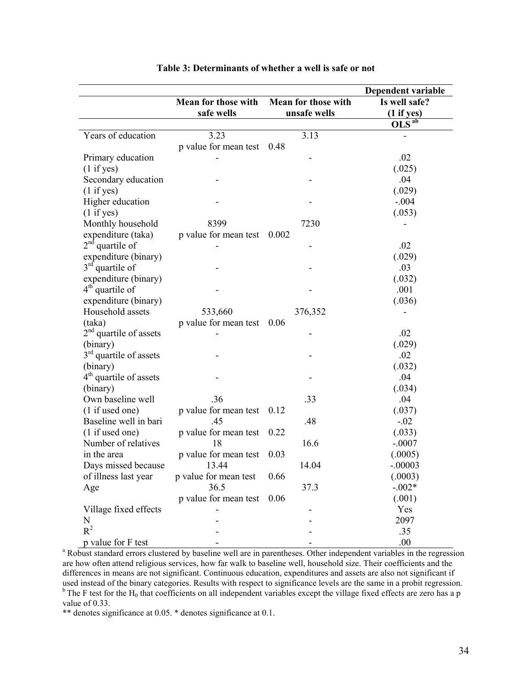|                          |                            |                            | Dependent variable    |
|--------------------------|----------------------------|----------------------------|-----------------------|
|                          | <b>Mean for those with</b> | <b>Mean for those with</b> | Is well safe?         |
|                          | safe wells                 | unsafe wells               | (1 if yes)            |
|                          |                            |                            | $OLS^{\overline{ab}}$ |
| Years of education       | 3.23                       | 3.13                       |                       |
|                          | p value for mean test 0.48 |                            |                       |
| Primary education        |                            |                            | .02                   |
| $(1 \text{ if yes})$     |                            |                            | (.025)                |
| Secondary education      |                            |                            | .04                   |
| $(1 \text{ if yes})$     |                            |                            | (.029)                |
| Higher education         |                            |                            | $-.004$               |
| (1 if yes)               |                            |                            | (.053)                |
| Monthly household        | 8399                       | 7230                       |                       |
| expenditure (taka)       | p value for mean test      | 0.002                      |                       |
| $2nd$ quartile of        |                            |                            | .02                   |
| expenditure (binary)     |                            |                            | (.029)                |
| $3rd$ quartile of        |                            |                            | .03                   |
| expenditure (binary)     |                            |                            | (.032)                |
| $4th$ quartile of        |                            |                            | .001                  |
| expenditure (binary)     |                            |                            | (.036)                |
| Household assets         | 533,660                    | 376,352                    |                       |
| (taka)                   | p value for mean test 0.06 |                            |                       |
| $2nd$ quartile of assets |                            |                            | .02                   |
| (binary)                 |                            |                            | (.029)                |
| $3rd$ quartile of assets |                            |                            | .02                   |
| (binary)                 |                            |                            | (.032)                |
| $4th$ quartile of assets |                            |                            | .04                   |
| (binary)                 |                            |                            | (.034)                |
| Own baseline well        | .36                        | .33                        | .04                   |
| (1 if used one)          | p value for mean test      | 0.12                       | (.037)                |
| Baseline well in bari    | .45                        | .48                        | $-.02$                |
| (1 if used one)          | p value for mean test      | 0.22                       | (.033)                |
| Number of relatives      | 18                         | 16.6                       | $-.0007$              |
| in the area              | p value for mean test      | 0.03                       | (.0005)               |
| Days missed because      | 13.44                      | 14.04                      | $-.00003$             |
| of illness last year     | p value for mean test      | 0.66                       | (.0003)               |
| Age                      | 36.5                       | 37.3                       | $-.002*$              |
|                          | p value for mean test      | 0.06                       | (.001)                |
| Village fixed effects    |                            |                            | Yes                   |
| N                        |                            |                            | 2097                  |
| $R^2$                    |                            |                            | .35                   |
| n value for F test       |                            |                            | $.00 \,$              |

## **Table 3: Determinants of whether a well is safe or not**

p value for F test - - .00 a Robust standard errors clustered by baseline well are in parentheses. Other independent variables in the regression are how often attend religious services, how far walk to baseline well, household size. Their coefficients and the differences in means are not significant. Continuous education, expenditures and assets are also not significant if used instead of the binary categories. Results with respect to significance levels are the same in a probit regression.  $<sup>b</sup>$  The F test for the H<sub>0</sub> that coefficients on all independent variables except the village fixed effects are zero has a p</sup> value of 0.33.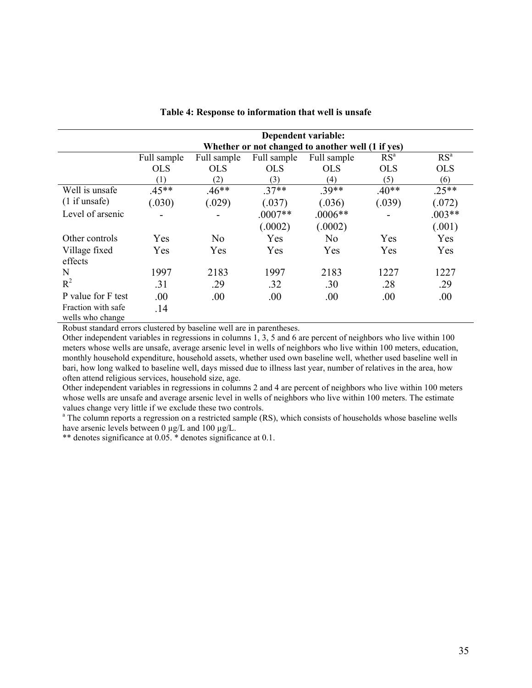|                                        |             |                |             | Dependent variable:                               |                 |                 |
|----------------------------------------|-------------|----------------|-------------|---------------------------------------------------|-----------------|-----------------|
|                                        |             |                |             | Whether or not changed to another well (1 if yes) |                 |                 |
|                                        | Full sample | Full sample    | Full sample | Full sample                                       | RS <sup>a</sup> | RS <sup>a</sup> |
|                                        | <b>OLS</b>  | <b>OLS</b>     | <b>OLS</b>  | <b>OLS</b>                                        | <b>OLS</b>      | <b>OLS</b>      |
|                                        | (1)         | (2)            | (3)         | (4)                                               | (5)             | (6)             |
| Well is unsafe                         | $.45**$     | $.46**$        | $37**$      | 39**                                              | $.40**$         | $.25**$         |
| (1 if unsafe)                          | (.030)      | (.029)         | (.037)      | (.036)                                            | (.039)          | (072)           |
| Level of arsenic                       |             |                | $.0007**$   | $.0006**$                                         |                 | $.003**$        |
|                                        |             |                | (.0002)     | (.0002)                                           |                 | (.001)          |
| Other controls                         | Yes         | N <sub>0</sub> | Yes         | No                                                | Yes             | Yes             |
| Village fixed                          | Yes         | Yes            | Yes         | Yes                                               | Yes             | Yes             |
| effects                                |             |                |             |                                                   |                 |                 |
| N                                      | 1997        | 2183           | 1997        | 2183                                              | 1227            | 1227            |
| $R^2$                                  | .31         | .29            | .32         | .30                                               | .28             | .29             |
| P value for F test                     | .00         | .00            | .00         | .00.                                              | .00             | .00             |
| Fraction with safe<br>wells who change | .14         |                |             |                                                   |                 |                 |

#### **Table 4: Response to information that well is unsafe**

Robust standard errors clustered by baseline well are in parentheses.

Other independent variables in regressions in columns 1, 3, 5 and 6 are percent of neighbors who live within 100 meters whose wells are unsafe, average arsenic level in wells of neighbors who live within 100 meters, education, monthly household expenditure, household assets, whether used own baseline well, whether used baseline well in bari, how long walked to baseline well, days missed due to illness last year, number of relatives in the area, how often attend religious services, household size, age.

Other independent variables in regressions in columns 2 and 4 are percent of neighbors who live within 100 meters whose wells are unsafe and average arsenic level in wells of neighbors who live within 100 meters. The estimate values change very little if we exclude these two controls.

<sup>a</sup> The column reports a regression on a restricted sample (RS), which consists of households whose baseline wells have arsenic levels between 0  $\mu$ g/L and 100  $\mu$ g/L.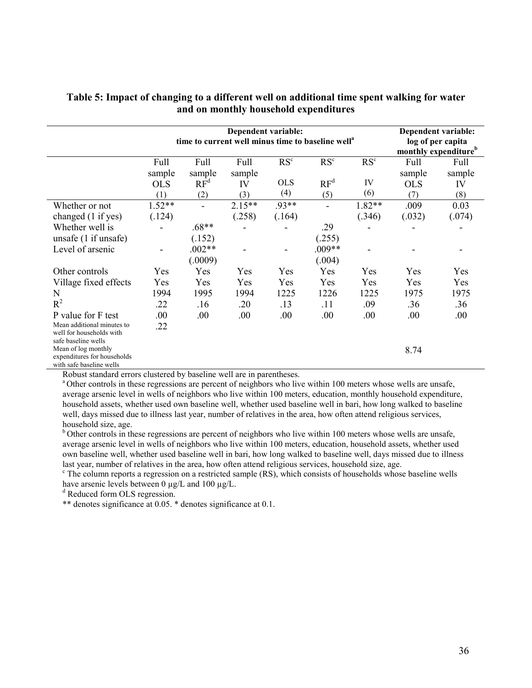|                                                         |                                                               |                          | Dependent variable: |                 |                 |                 |                                  | Dependent variable: |
|---------------------------------------------------------|---------------------------------------------------------------|--------------------------|---------------------|-----------------|-----------------|-----------------|----------------------------------|---------------------|
|                                                         | time to current well minus time to baseline well <sup>a</sup> |                          |                     |                 |                 |                 |                                  | log of per capita   |
|                                                         |                                                               |                          |                     |                 |                 |                 | monthly expenditure <sup>b</sup> |                     |
|                                                         | Full                                                          | Full                     | Full                | RS <sup>c</sup> | RS <sup>c</sup> | RS <sup>c</sup> | Full                             | Full                |
|                                                         | sample                                                        | sample                   | sample              |                 |                 |                 | sample                           | sample              |
|                                                         | <b>OLS</b>                                                    | $RF^d$                   | IV                  | <b>OLS</b>      | $RF^d$          | IV              | <b>OLS</b>                       | IV                  |
|                                                         | (1)                                                           | (2)                      | (3)                 | (4)             | (5)             | (6)             | (7)                              | (8)                 |
| Whether or not                                          | $1.52**$                                                      | $\overline{\phantom{a}}$ | $2.15**$            | $.93**$         | $\overline{a}$  | 1.82**          | .009                             | 0.03                |
| changed (1 if yes)                                      | (.124)                                                        |                          | (.258)              | (.164)          |                 | (.346)          | (.032)                           | (.074)              |
| Whether well is                                         |                                                               | $.68**$                  |                     |                 | .29             |                 |                                  |                     |
| unsafe (1 if unsafe)                                    |                                                               | (.152)                   |                     |                 | (.255)          |                 |                                  |                     |
| Level of arsenic                                        |                                                               | $.002**$                 |                     |                 | $.009**$        |                 |                                  |                     |
|                                                         |                                                               | (.0009)                  |                     |                 | (.004)          |                 |                                  |                     |
| Other controls                                          | Yes                                                           | Yes                      | Yes                 | Yes             | Yes             | Yes             | Yes                              | Yes                 |
| Village fixed effects                                   | Yes                                                           | Yes                      | Yes                 | Yes             | Yes             | Yes             | Yes                              | Yes                 |
| N                                                       | 1994                                                          | 1995                     | 1994                | 1225            | 1226            | 1225            | 1975                             | 1975                |
| $R^2$                                                   | .22                                                           | .16                      | .20                 | .13             | .11             | .09             | .36                              | .36                 |
| P value for F test                                      | .00                                                           | .00                      | .00.                | .00             | .00             | .00.            | .00                              | .00.                |
| Mean additional minutes to                              | .22                                                           |                          |                     |                 |                 |                 |                                  |                     |
| well for households with<br>safe baseline wells         |                                                               |                          |                     |                 |                 |                 |                                  |                     |
| Mean of log monthly                                     |                                                               |                          |                     |                 |                 |                 | 8.74                             |                     |
| expenditures for households<br>with safe baseline wells |                                                               |                          |                     |                 |                 |                 |                                  |                     |
|                                                         |                                                               |                          |                     |                 |                 |                 |                                  |                     |

## **Table 5: Impact of changing to a different well on additional time spent walking for water and on monthly household expenditures**

Robust standard errors clustered by baseline well are in parentheses.

<sup>a</sup> Other controls in these regressions are percent of neighbors who live within 100 meters whose wells are unsafe, average arsenic level in wells of neighbors who live within 100 meters, education, monthly household expenditure, household assets, whether used own baseline well, whether used baseline well in bari, how long walked to baseline well, days missed due to illness last year, number of relatives in the area, how often attend religious services, household size, age.

<sup>b</sup> Other controls in these regressions are percent of neighbors who live within 100 meters whose wells are unsafe, average arsenic level in wells of neighbors who live within 100 meters, education, household assets, whether used own baseline well, whether used baseline well in bari, how long walked to baseline well, days missed due to illness last year, number of relatives in the area, how often attend religious services, household size, age.

<sup>c</sup> The column reports a regression on a restricted sample (RS), which consists of households whose baseline wells have arsenic levels between 0  $\mu$ g/L and 100  $\mu$ g/L.

d Reduced form OLS regression.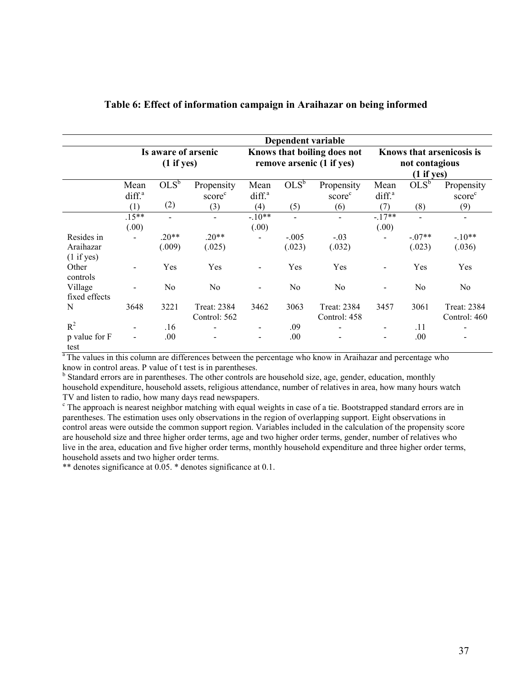|                                       |                                   |                   |                                  |                                                          |                   | Dependent variable               |                                                           |                   |                                  |
|---------------------------------------|-----------------------------------|-------------------|----------------------------------|----------------------------------------------------------|-------------------|----------------------------------|-----------------------------------------------------------|-------------------|----------------------------------|
|                                       | Is aware of arsenic<br>(1 if yes) |                   |                                  | Knows that boiling does not<br>remove arsenic (1 if yes) |                   |                                  | Knows that arsenicosis is<br>not contagious<br>(1 if yes) |                   |                                  |
|                                       | Mean<br>diff. <sup>a</sup>        | $OLS^b$           | Propensity<br>score <sup>c</sup> | Mean<br>diff. <sup>a</sup>                               | $OLS^b$           | Propensity<br>score <sup>c</sup> | Mean<br>diff. <sup>a</sup>                                | OLS <sup>b</sup>  | Propensity<br>score <sup>c</sup> |
|                                       | (1)                               | (2)               | (3)                              | (4)                                                      | (5)               | (6)                              | (7)                                                       | (8)               | (9)                              |
|                                       | $.15***$<br>(.00)                 |                   |                                  | $-10**$<br>(.00)                                         |                   | $\overline{a}$                   | $-17**$<br>(.00)                                          |                   | $\overline{\phantom{a}}$         |
| Resides in<br>Araihazar<br>(1 if yes) |                                   | $.20**$<br>(.009) | $.20**$<br>(.025)                | $\overline{\phantom{0}}$                                 | $-.005$<br>(.023) | $-.03$<br>(.032)                 | $\blacksquare$                                            | $-07**$<br>(.023) | $-.10**$<br>(.036)               |
| Other<br>controls                     | $\overline{\phantom{a}}$          | Yes               | Yes                              | $\overline{\phantom{a}}$                                 | Yes               | Yes                              | $\overline{\phantom{0}}$                                  | Yes               | Yes                              |
| Village<br>fixed effects              |                                   | No                | N <sub>0</sub>                   | -                                                        | N <sub>0</sub>    | N <sub>0</sub>                   |                                                           | No                | No                               |
| N                                     | 3648                              | 3221              | Treat: 2384<br>Control: 562      | 3462                                                     | 3063              | Treat: 2384<br>Control: 458      | 3457                                                      | 3061              | Treat: 2384<br>Control: 460      |
| $R^2$                                 |                                   | .16               |                                  | $\overline{\phantom{a}}$                                 | .09               |                                  |                                                           | .11               |                                  |
| p value for F<br>test                 |                                   | .00               |                                  | $\overline{\phantom{0}}$                                 | .00               |                                  |                                                           | .00.              |                                  |

#### **Table 6: Effect of information campaign in Araihazar on being informed**

<sup>a</sup> The values in this column are differences between the percentage who know in Araihazar and percentage who know in control areas. P value of t test is in parentheses.

<sup>b</sup> Standard errors are in parentheses. The other controls are household size, age, gender, education, monthly household expenditure, household assets, religious attendance, number of relatives in area, how many hours watch TV and listen to radio, how many days read newspapers.

<sup>c</sup> The approach is nearest neighbor matching with equal weights in case of a tie. Bootstrapped standard errors are in parentheses. The estimation uses only observations in the region of overlapping support. Eight observations in control areas were outside the common support region. Variables included in the calculation of the propensity score are household size and three higher order terms, age and two higher order terms, gender, number of relatives who live in the area, education and five higher order terms, monthly household expenditure and three higher order terms, household assets and two higher order terms.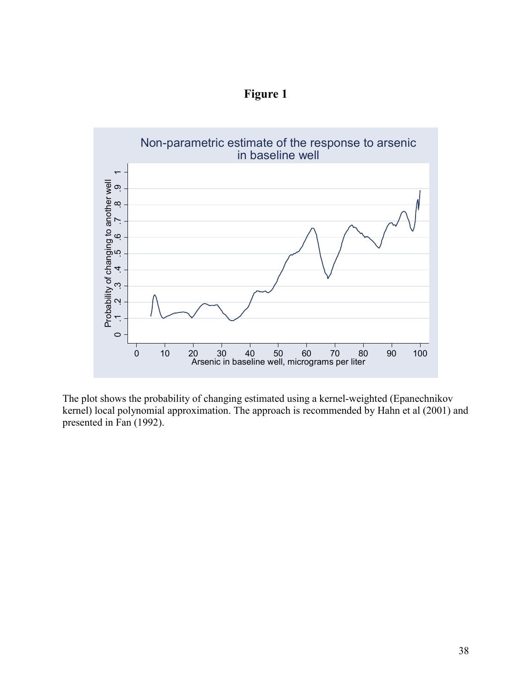**Figure 1** 



The plot shows the probability of changing estimated using a kernel-weighted (Epanechnikov kernel) local polynomial approximation. The approach is recommended by Hahn et al (2001) and presented in Fan (1992).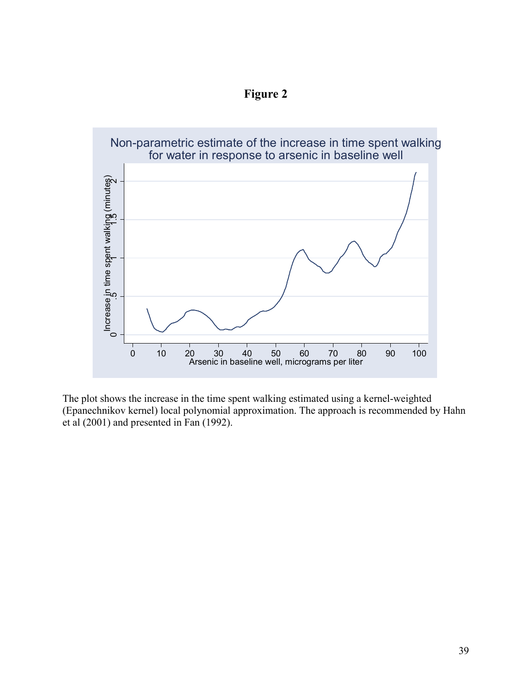**Figure 2** 



The plot shows the increase in the time spent walking estimated using a kernel-weighted (Epanechnikov kernel) local polynomial approximation. The approach is recommended by Hahn et al (2001) and presented in Fan (1992).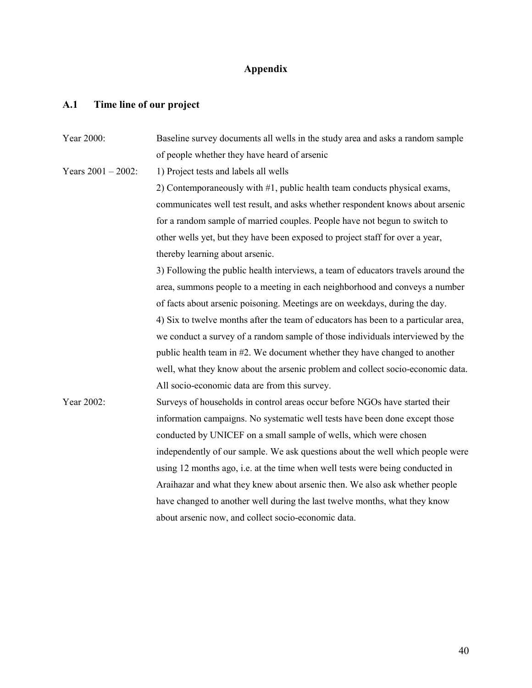# **Appendix**

# **A.1 Time line of our project**

| Year 2000:            | Baseline survey documents all wells in the study area and asks a random sample     |
|-----------------------|------------------------------------------------------------------------------------|
|                       | of people whether they have heard of arsenic                                       |
| Years $2001 - 2002$ : | 1) Project tests and labels all wells                                              |
|                       | 2) Contemporaneously with #1, public health team conducts physical exams,          |
|                       | communicates well test result, and asks whether respondent knows about arsenic     |
|                       | for a random sample of married couples. People have not begun to switch to         |
|                       | other wells yet, but they have been exposed to project staff for over a year,      |
|                       | thereby learning about arsenic.                                                    |
|                       | 3) Following the public health interviews, a team of educators travels around the  |
|                       | area, summons people to a meeting in each neighborhood and conveys a number        |
|                       | of facts about arsenic poisoning. Meetings are on weekdays, during the day.        |
|                       | 4) Six to twelve months after the team of educators has been to a particular area, |
|                       | we conduct a survey of a random sample of those individuals interviewed by the     |
|                       | public health team in #2. We document whether they have changed to another         |
|                       | well, what they know about the arsenic problem and collect socio-economic data.    |
|                       | All socio-economic data are from this survey.                                      |
| Year 2002:            | Surveys of households in control areas occur before NGOs have started their        |
|                       | information campaigns. No systematic well tests have been done except those        |
|                       | conducted by UNICEF on a small sample of wells, which were chosen                  |
|                       | independently of our sample. We ask questions about the well which people were     |
|                       | using 12 months ago, i.e. at the time when well tests were being conducted in      |
|                       | Araihazar and what they knew about arsenic then. We also ask whether people        |
|                       | have changed to another well during the last twelve months, what they know         |
|                       | about arsenic now, and collect socio-economic data.                                |